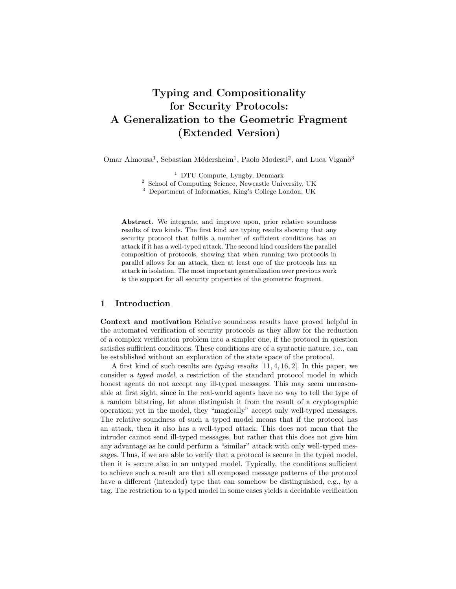# Typing and Compositionality for Security Protocols: A Generalization to the Geometric Fragment (Extended Version)

Omar Almousa<sup>1</sup>, Sebastian Mödersheim<sup>1</sup>, Paolo Modesti<sup>2</sup>, and Luca Vigano<sup>3</sup>

<sup>1</sup> DTU Compute, Lyngby, Denmark

<sup>2</sup> School of Computing Science, Newcastle University, UK

<sup>3</sup> Department of Informatics, King's College London, UK

Abstract. We integrate, and improve upon, prior relative soundness results of two kinds. The first kind are typing results showing that any security protocol that fulfils a number of sufficient conditions has an attack if it has a well-typed attack. The second kind considers the parallel composition of protocols, showing that when running two protocols in parallel allows for an attack, then at least one of the protocols has an attack in isolation. The most important generalization over previous work is the support for all security properties of the geometric fragment.

## 1 Introduction

Context and motivation Relative soundness results have proved helpful in the automated verification of security protocols as they allow for the reduction of a complex verification problem into a simpler one, if the protocol in question satisfies sufficient conditions. These conditions are of a syntactic nature, i.e., can be established without an exploration of the state space of the protocol.

A first kind of such results are *typing results*  $[11, 4, 16, 2]$ . In this paper, we consider a typed model, a restriction of the standard protocol model in which honest agents do not accept any ill-typed messages. This may seem unreasonable at first sight, since in the real-world agents have no way to tell the type of a random bitstring, let alone distinguish it from the result of a cryptographic operation; yet in the model, they "magically" accept only well-typed messages. The relative soundness of such a typed model means that if the protocol has an attack, then it also has a well-typed attack. This does not mean that the intruder cannot send ill-typed messages, but rather that this does not give him any advantage as he could perform a "similar" attack with only well-typed messages. Thus, if we are able to verify that a protocol is secure in the typed model, then it is secure also in an untyped model. Typically, the conditions sufficient to achieve such a result are that all composed message patterns of the protocol have a different (intended) type that can somehow be distinguished, e.g., by a tag. The restriction to a typed model in some cases yields a decidable verification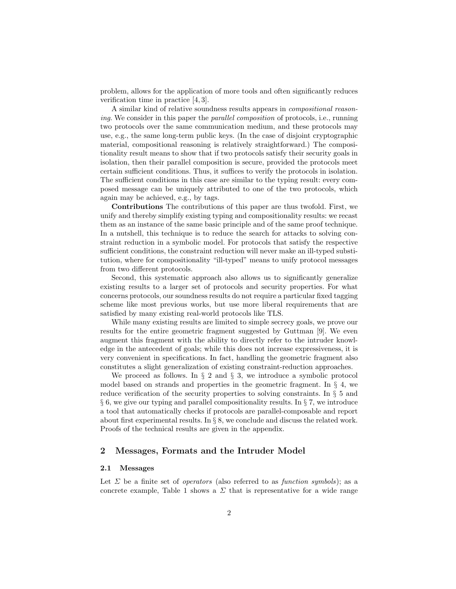problem, allows for the application of more tools and often significantly reduces verification time in practice [4, 3].

A similar kind of relative soundness results appears in compositional reasoning. We consider in this paper the parallel composition of protocols, i.e., running two protocols over the same communication medium, and these protocols may use, e.g., the same long-term public keys. (In the case of disjoint cryptographic material, compositional reasoning is relatively straightforward.) The compositionality result means to show that if two protocols satisfy their security goals in isolation, then their parallel composition is secure, provided the protocols meet certain sufficient conditions. Thus, it suffices to verify the protocols in isolation. The sufficient conditions in this case are similar to the typing result: every composed message can be uniquely attributed to one of the two protocols, which again may be achieved, e.g., by tags.

Contributions The contributions of this paper are thus twofold. First, we unify and thereby simplify existing typing and compositionality results: we recast them as an instance of the same basic principle and of the same proof technique. In a nutshell, this technique is to reduce the search for attacks to solving constraint reduction in a symbolic model. For protocols that satisfy the respective sufficient conditions, the constraint reduction will never make an ill-typed substitution, where for compositionality "ill-typed" means to unify protocol messages from two different protocols.

Second, this systematic approach also allows us to significantly generalize existing results to a larger set of protocols and security properties. For what concerns protocols, our soundness results do not require a particular fixed tagging scheme like most previous works, but use more liberal requirements that are satisfied by many existing real-world protocols like TLS.

While many existing results are limited to simple secrecy goals, we prove our results for the entire geometric fragment suggested by Guttman [9]. We even augment this fragment with the ability to directly refer to the intruder knowledge in the antecedent of goals; while this does not increase expressiveness, it is very convenient in specifications. In fact, handling the geometric fragment also constitutes a slight generalization of existing constraint-reduction approaches.

We proceed as follows. In  $\S 2$  and  $\S 3$ , we introduce a symbolic protocol model based on strands and properties in the geometric fragment. In  $\S$  4, we reduce verification of the security properties to solving constraints. In § 5 and § 6, we give our typing and parallel compositionality results. In § 7, we introduce a tool that automatically checks if protocols are parallel-composable and report about first experimental results. In  $\S 8$ , we conclude and discuss the related work. Proofs of the technical results are given in the appendix.

## 2 Messages, Formats and the Intruder Model

#### 2.1 Messages

Let  $\Sigma$  be a finite set of *operators* (also referred to as *function symbols*); as a concrete example, Table 1 shows a  $\Sigma$  that is representative for a wide range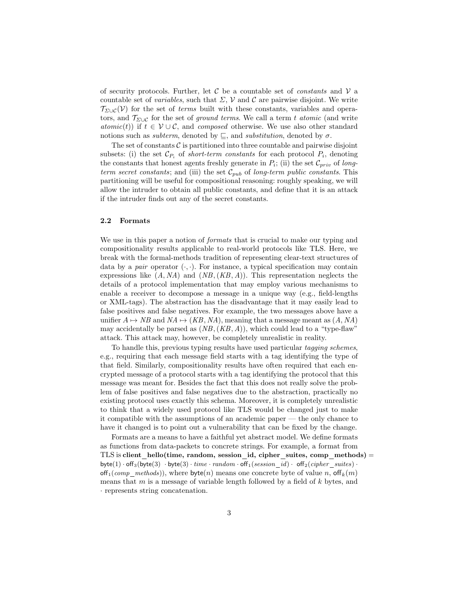of security protocols. Further, let  $\mathcal C$  be a countable set of *constants* and  $\mathcal V$  a countable set of variables, such that  $\Sigma$ ,  $\mathcal V$  and  $\mathcal C$  are pairwise disjoint. We write  $\mathcal{T}_{\Sigma\cup\mathcal{C}}(\mathcal{V})$  for the set of *terms* built with these constants, variables and operators, and  $\mathcal{T}_{\Sigma\cup\mathcal{C}}$  for the set of ground terms. We call a term t atomic (and write atomic(t)) if  $t \in V \cup C$ , and composed otherwise. We use also other standard notions such as *subterm*, denoted by  $\subseteq$ , and *substitution*, denoted by  $\sigma$ .

The set of constants  $\mathcal C$  is partitioned into three countable and pairwise disjoint subsets: (i) the set  $\mathcal{C}_{P_i}$  of *short-term constants* for each protocol  $P_i$ , denoting the constants that honest agents freshly generate in  $P_i$ ; (ii) the set  $\mathcal{C}_{priv}$  of longterm secret constants; and (iii) the set  $\mathcal{C}_{pub}$  of long-term public constants. This partitioning will be useful for compositional reasoning: roughly speaking, we will allow the intruder to obtain all public constants, and define that it is an attack if the intruder finds out any of the secret constants.

## 2.2 Formats

We use in this paper a notion of *formats* that is crucial to make our typing and compositionality results applicable to real-world protocols like TLS. Here, we break with the formal-methods tradition of representing clear-text structures of data by a pair operator  $(\cdot, \cdot)$ . For instance, a typical specification may contain expressions like  $(A, NA)$  and  $(NB, (KB, A))$ . This representation neglects the details of a protocol implementation that may employ various mechanisms to enable a receiver to decompose a message in a unique way (e.g., field-lengths or XML-tags). The abstraction has the disadvantage that it may easily lead to false positives and false negatives. For example, the two messages above have a unifier  $A \mapsto NB$  and  $NA \mapsto (KB, NA)$ , meaning that a message meant as  $(A, NA)$ may accidentally be parsed as  $(NB,(KB, A))$ , which could lead to a "type-flaw" attack. This attack may, however, be completely unrealistic in reality.

To handle this, previous typing results have used particular tagging schemes, e.g., requiring that each message field starts with a tag identifying the type of that field. Similarly, compositionality results have often required that each encrypted message of a protocol starts with a tag identifying the protocol that this message was meant for. Besides the fact that this does not really solve the problem of false positives and false negatives due to the abstraction, practically no existing protocol uses exactly this schema. Moreover, it is completely unrealistic to think that a widely used protocol like TLS would be changed just to make it compatible with the assumptions of an academic paper — the only chance to have it changed is to point out a vulnerability that can be fixed by the change.

Formats are a means to have a faithful yet abstract model. We define formats as functions from data-packets to concrete strings. For example, a format from TLS is client hello(time, random, session id, cipher suites, comp methods)  $=$  $byte(1) \cdot off_3(byte(3) \cdot byte(3) \cdot time \cdot random \cdot off_1(session_id) \cdot off_2(cipher\_suites) \cdot$ off<sub>1</sub>(comp methods)), where  $byte(n)$  means one concrete byte of value n, off<sub>k</sub> $(m)$ means that  $m$  is a message of variable length followed by a field of  $k$  bytes, and · represents string concatenation.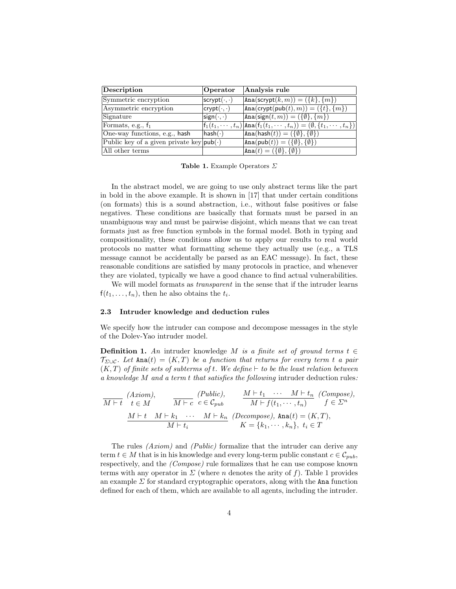| Description                                             | Operator               | Analysis rule                                                                                         |
|---------------------------------------------------------|------------------------|-------------------------------------------------------------------------------------------------------|
| Symmetric encryption                                    | $script(\cdot, \cdot)$ | $\left(\text{Ana}(\text{scrypt}(k,m)) = (\{k\}, \{m\})\right)$                                        |
| Asymmetric encryption                                   | $crypt(\cdot,\cdot)$   | $\begin{bmatrix} \texttt{Ana}(\texttt{crypt}(\texttt{pub}(t), m)) = (\{t\}, \{m\}) \end{bmatrix}$     |
| Signature                                               | $sign(\cdot, \cdot)$   | $\text{Ana}(\text{sign}(t,m)) = (\{\emptyset\}, \{m\})$                                               |
| Formats, e.g., $f_1$                                    |                        | $ \mathsf{f}_1(t_1,\cdots,t_n) $ Ana $(\mathsf{f}_1(t_1,\cdots,t_n))=(\emptyset,\{t_1,\cdots,t_n\}) $ |
| One-way functions, e.g., hash                           | $\mathsf{hash}(\cdot)$ | Ana $(hash(t)) = (\{\emptyset\}, \{\emptyset\})$                                                      |
| Public key of a given private key $\mathsf{pub}(\cdot)$ |                        | $ {\rm Ana}({\sf pub}(t))=(\{\emptyset\},\{\emptyset\})$                                              |
| All other terms                                         |                        | $\text{Ana}(t) = (\{\emptyset\}, \{\emptyset\})$                                                      |

Table 1. Example Operators  $\Sigma$ 

In the abstract model, we are going to use only abstract terms like the part in bold in the above example. It is shown in [17] that under certain conditions (on formats) this is a sound abstraction, i.e., without false positives or false negatives. These conditions are basically that formats must be parsed in an unambiguous way and must be pairwise disjoint, which means that we can treat formats just as free function symbols in the formal model. Both in typing and compositionality, these conditions allow us to apply our results to real world protocols no matter what formatting scheme they actually use (e.g., a TLS message cannot be accidentally be parsed as an EAC message). In fact, these reasonable conditions are satisfied by many protocols in practice, and whenever they are violated, typically we have a good chance to find actual vulnerabilities.

We will model formats as *transparent* in the sense that if the intruder learns  $f(t_1,\ldots,t_n)$ , then he also obtains the  $t_i$ .

#### 2.3 Intruder knowledge and deduction rules

We specify how the intruder can compose and decompose messages in the style of the Dolev-Yao intruder model.

**Definition 1.** An intruder knowledge M is a finite set of ground terms  $t \in$  $\mathcal{T}_{\Sigma\cup\mathcal{C}}$ . Let Ana(t) = (K,T) be a function that returns for every term t a pair  $(K, T)$  of finite sets of subterms of t. We define  $\vdash$  to be the least relation between a knowledge M and a term t that satisfies the following intruder deduction rules:

$$
\overline{M \vdash t} \quad \begin{array}{lll}\n\text{(Axiom)}, & \overline{M \vdash c} & \text{(Public)}, \\
\overline{M \vdash t} & \overline{t} \in M & \overline{M \vdash c} & \overline{c} \in \mathcal{C}_{pub} \\
& \overline{M \vdash f(t_1, \cdots, t_n)} & \overline{f} \in \Sigma^n \\
& \underline{M \vdash t} & \overline{M \vdash k_1} & \cdots & \underline{M \vdash k_n} & \text{(Decompose)}, \text{ Ana}(t) = (K, T), \\
& \overline{M \vdash t_i} & \overline{K} = \{k_1, \cdots, k_n\}, \ t_i \in T\n\end{array}
$$

The rules (Axiom) and (Public) formalize that the intruder can derive any term  $t \in M$  that is in his knowledge and every long-term public constant  $c \in C_{pub}$ , respectively, and the (Compose) rule formalizes that he can use compose known terms with any operator in  $\Sigma$  (where *n* denotes the arity of f). Table 1 provides an example  $\Sigma$  for standard cryptographic operators, along with the Ana function defined for each of them, which are available to all agents, including the intruder.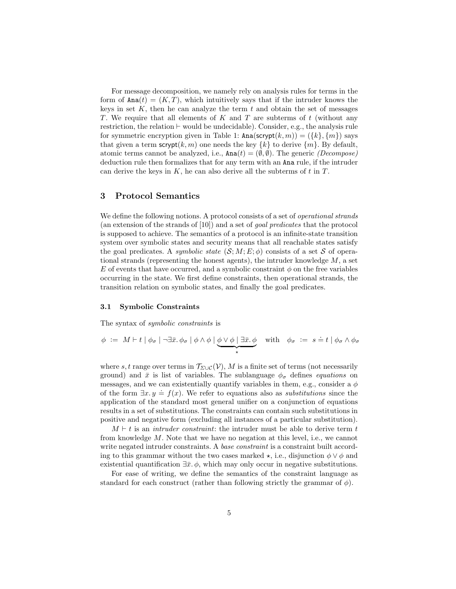For message decomposition, we namely rely on analysis rules for terms in the form of  $\texttt{Ana}(t) = (K, T)$ , which intuitively says that if the intruder knows the keys in set  $K$ , then he can analyze the term  $t$  and obtain the set of messages T. We require that all elements of  $K$  and  $T$  are subterms of  $t$  (without any restriction, the relation  $\vdash$  would be undecidable). Consider, e.g., the analysis rule for symmetric encryption given in Table 1:  $\text{Ana}(\text{scrypt}(k, m)) = (\{k\}, \{m\})$  says that given a term scrypt $(k, m)$  one needs the key  $\{k\}$  to derive  $\{m\}$ . By default, atomic terms cannot be analyzed, i.e.,  $\text{Ana}(t) = (\emptyset, \emptyset)$ . The generic *(Decompose)* deduction rule then formalizes that for any term with an Ana rule, if the intruder can derive the keys in  $K$ , he can also derive all the subterms of  $t$  in  $T$ .

# 3 Protocol Semantics

We define the following notions. A protocol consists of a set of *operational strands* (an extension of the strands of [10]) and a set of goal predicates that the protocol is supposed to achieve. The semantics of a protocol is an infinite-state transition system over symbolic states and security means that all reachable states satisfy the goal predicates. A symbolic state  $(S; M; E; \phi)$  consists of a set S of operational strands (representing the honest agents), the intruder knowledge  $M$ , a set E of events that have occurred, and a symbolic constraint  $\phi$  on the free variables occurring in the state. We first define constraints, then operational strands, the transition relation on symbolic states, and finally the goal predicates.

#### 3.1 Symbolic Constraints

The syntax of symbolic constraints is

$$
\phi := M \vdash t \mid \phi_{\sigma} \mid \neg \exists \bar{x}.\ \phi_{\sigma} \mid \phi \land \phi \mid \underbrace{\phi \lor \phi \mid \exists \bar{x}.\ \phi}_{\star} \quad \text{with} \quad \phi_{\sigma} := s \doteq t \mid \phi_{\sigma} \land \phi_{\sigma}
$$

where s, t range over terms in  $\mathcal{T}_{\Sigma\cup\mathcal{C}}(\mathcal{V})$ , M is a finite set of terms (not necessarily ground) and  $\bar{x}$  is list of variables. The sublanguage  $\phi_{\sigma}$  defines *equations* on messages, and we can existentially quantify variables in them, e.g., consider a  $\phi$ of the form  $\exists x \cdot y \doteq f(x)$ . We refer to equations also as *substitutions* since the application of the standard most general unifier on a conjunction of equations results in a set of substitutions. The constraints can contain such substitutions in positive and negative form (excluding all instances of a particular substitution).

 $M \vdash t$  is an *intruder constraint*: the intruder must be able to derive term t from knowledge M. Note that we have no negation at this level, i.e., we cannot write negated intruder constraints. A base constraint is a constraint built according to this grammar without the two cases marked  $\star$ , i.e., disjunction  $\phi \vee \phi$  and existential quantification  $\exists \bar{x}$ .  $\phi$ , which may only occur in negative substitutions.

For ease of writing, we define the semantics of the constraint language as standard for each construct (rather than following strictly the grammar of  $\phi$ ).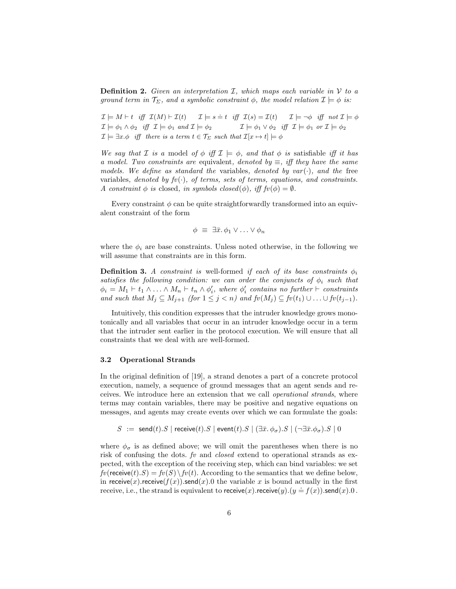**Definition 2.** Given an interpretation  $\mathcal{I}$ , which maps each variable in  $\mathcal{V}$  to a ground term in  $\mathcal{T}_{\Sigma}$ , and a symbolic constraint  $\phi$ , the model relation  $\mathcal{I} \models \phi$  is:

 $\mathcal{I} \models M \vdash t \text{ iff } \mathcal{I}(M) \vdash \mathcal{I}(t) \quad \mathcal{I} \models s = t \text{ iff } \mathcal{I}(s) = \mathcal{I}(t) \quad \mathcal{I} \models \neg \phi \text{ iff } not \mathcal{I} \models \phi$  $\mathcal{I} \models \phi_1 \land \phi_2$  iff  $\mathcal{I} \models \phi_1$  and  $\mathcal{I} \models \phi_2$   $\mathcal{I} \models \phi_1 \lor \phi_2$  iff  $\mathcal{I} \models \phi_1$  or  $\mathcal{I} \models \phi_2$  $\mathcal{I} \models \exists x.\phi \text{ iff there is a term } t \in \mathcal{T}_{\Sigma} \text{ such that } \mathcal{I}[x \mapsto t] \models \phi$ 

We say that I is a model of  $\phi$  iff  $\mathcal{I} \models \phi$ , and that  $\phi$  is satisfiable iff it has a model. Two constraints are equivalent, denoted by  $\equiv$ , iff they have the same models. We define as standard the variables, denoted by  $var(\cdot)$ , and the free variables, denoted by  $fv(\cdot)$ , of terms, sets of terms, equations, and constraints. A constraint  $\phi$  is closed, in symbols closed( $\phi$ ), iff  $fv(\phi) = \emptyset$ .

Every constraint  $\phi$  can be quite straightforwardly transformed into an equivalent constraint of the form

$$
\phi \equiv \exists \bar{x}.\,\phi_1 \vee \ldots \vee \phi_n
$$

where the  $\phi_i$  are base constraints. Unless noted otherwise, in the following we will assume that constraints are in this form.

**Definition 3.** A constraint is well-formed if each of its base constraints  $\phi_i$ satisfies the following condition: we can order the conjuncts of  $\phi_i$  such that  $\phi_i = M_1 \vdash t_1 \wedge \ldots \wedge M_n \vdash t_n \wedge \phi'_i$ , where  $\phi'_i$  contains no further  $\vdash$  constraints and such that  $M_j \subseteq M_{j+1}$  (for  $1 \leq j < n$ ) and  $fv(M_j) \subseteq fv(t_1) \cup ... \cup fv(t_{j-1})$ .

Intuitively, this condition expresses that the intruder knowledge grows monotonically and all variables that occur in an intruder knowledge occur in a term that the intruder sent earlier in the protocol execution. We will ensure that all constraints that we deal with are well-formed.

#### 3.2 Operational Strands

In the original definition of [19], a strand denotes a part of a concrete protocol execution, namely, a sequence of ground messages that an agent sends and receives. We introduce here an extension that we call operational strands, where terms may contain variables, there may be positive and negative equations on messages, and agents may create events over which we can formulate the goals:

$$
S \ := \ \mathsf{send}(t).S \mid \mathsf{receive}(t).S \mid \mathsf{event}(t).S \mid (\exists \bar{x}. \ \phi_{\sigma}).S \mid (\neg \exists \bar{x}.\phi_{\sigma}).S \mid 0
$$

where  $\phi_{\sigma}$  is as defined above; we will omit the parentheses when there is no risk of confusing the dots. fv and *closed* extend to operational strands as expected, with the exception of the receiving step, which can bind variables: we set  $fv(receive(t).S) = fv(S) \backslash fv(t)$ . According to the semantics that we define below, in receive(x).receive( $f(x)$ ).send(x).0 the variable x is bound actually in the first receive, i.e., the strand is equivalent to receive(x).receive(y).(y  $\dot{=} f(x)$ ).send(x).0.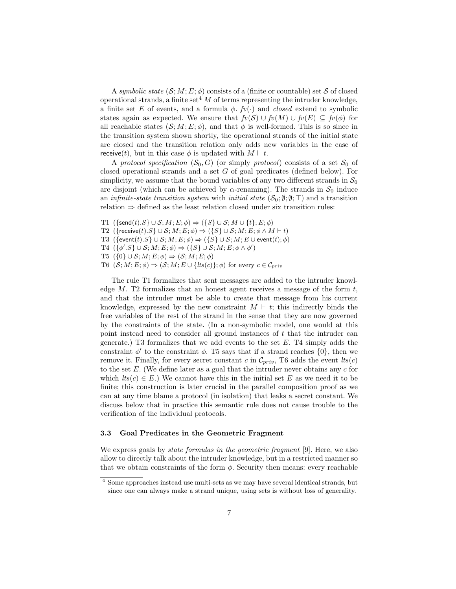A symbolic state  $(S; M; E; \phi)$  consists of a (finite or countable) set S of closed operational strands, a finite set  $4 M$  of terms representing the intruder knowledge, a finite set E of events, and a formula  $\phi$ .  $fv(\cdot)$  and closed extend to symbolic states again as expected. We ensure that  $f(v(S) \cup f(v(M) \cup f(v(E) \subseteq f(v(\phi))$  for all reachable states  $(S; M; E; \phi)$ , and that  $\phi$  is well-formed. This is so since in the transition system shown shortly, the operational strands of the initial state are closed and the transition relation only adds new variables in the case of receive(*t*), but in this case  $\phi$  is updated with  $M \vdash t$ .

A protocol specification  $(S_0, G)$  (or simply protocol) consists of a set  $S_0$  of closed operational strands and a set G of goal predicates (defined below). For simplicity, we assume that the bound variables of any two different strands in  $\mathcal{S}_0$ are disjoint (which can be achieved by  $\alpha$ -renaming). The strands in  $S_0$  induce an *infinite-state transition system* with *initial state*  $(S_0; \emptyset; \emptyset; \top)$  and a transition relation  $\Rightarrow$  defined as the least relation closed under six transition rules:

- T1  $({\{send(t).S\}} \cup S; M; E; \phi) \Rightarrow ({S} \cup S; M \cup {t}; E; \phi)$
- T2 ({receive(t).S}  $\cup$  S;  $M$ ; E;  $\phi$ )  $\Rightarrow$  ({S}  $\cup$  S;  $M$ ; E;  $\phi \wedge M \vdash t$ )
- T3  $({\{event(t).S\}} \cup S; M; E; \phi) \Rightarrow ({S\}} \cup S; M; E \cup event(t); \phi)$
- T4  $({\phi'.S} \cup \mathcal{S}; M; E; \phi) \Rightarrow ({S} \cup \mathcal{S}; M; E; \phi \wedge \phi')$
- T5  $({0} \cup \mathcal{S}; M; E; \phi) \Rightarrow (\mathcal{S}; M; E; \phi)$
- T6  $(\mathcal{S}; M; E; \phi) \Rightarrow (\mathcal{S}; M; E \cup \{ \text{lts}(c) \}; \phi)$  for every  $c \in \mathcal{C}_{priv}$

The rule T1 formalizes that sent messages are added to the intruder knowledge  $M$ . T2 formalizes that an honest agent receives a message of the form  $t$ , and that the intruder must be able to create that message from his current knowledge, expressed by the new constraint  $M \vdash t$ ; this indirectly binds the free variables of the rest of the strand in the sense that they are now governed by the constraints of the state. (In a non-symbolic model, one would at this point instead need to consider all ground instances of t that the intruder can generate.) T3 formalizes that we add events to the set  $E$ . T4 simply adds the constraint  $\phi'$  to the constraint  $\phi$ . T5 says that if a strand reaches  $\{0\}$ , then we remove it. Finally, for every secret constant c in  $\mathcal{C}_{priv}$ , T6 adds the event  $lts(c)$ to the set  $E$ . (We define later as a goal that the intruder never obtains any  $c$  for which  $lts(c) \in E$ .) We cannot have this in the initial set E as we need it to be finite; this construction is later crucial in the parallel composition proof as we can at any time blame a protocol (in isolation) that leaks a secret constant. We discuss below that in practice this semantic rule does not cause trouble to the verification of the individual protocols.

#### 3.3 Goal Predicates in the Geometric Fragment

We express goals by *state formulas in the geometric fragment* [9]. Here, we also allow to directly talk about the intruder knowledge, but in a restricted manner so that we obtain constraints of the form  $\phi$ . Security then means: every reachable

<sup>4</sup> Some approaches instead use multi-sets as we may have several identical strands, but since one can always make a strand unique, using sets is without loss of generality.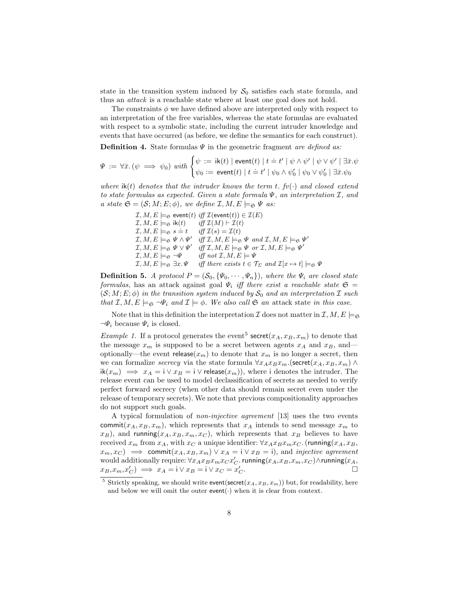state in the transition system induced by  $S_0$  satisfies each state formula, and thus an attack is a reachable state where at least one goal does not hold.

The constraints  $\phi$  we have defined above are interpreted only with respect to an interpretation of the free variables, whereas the state formulas are evaluated with respect to a symbolic state, including the current intruder knowledge and events that have occurred (as before, we define the semantics for each construct).

**Definition 4.** State formulas  $\Psi$  in the geometric fragment are defined as:

$$
\Psi\;:=\;\forall\bar x\,.\,(\psi\;\Longrightarrow\;\psi_0)\;\,with\;\begin{cases}\psi\;:=\;\mathsf{ik}(t)\;|\;\mathsf{event}(t)\;|\;t\;{\buildrel\perp\hspace{-0.2em}\dot{\equiv}\;} t'\;|\;\psi\wedge\psi'\;|\;\psi\vee\psi'\;|\;\exists\bar x.\psi_0\\\psi_0\;:=\;\mathsf{event}(t)\;|\;t\;{\buildrel\perp\hspace{-0.2em}\dot{\equiv}\;} t'\;|\;\psi_0\wedge\psi_0'\;|\;\psi_0\vee\psi_0'\;|\;\exists\bar x.\psi_0\end{cases}
$$

where  $\mathsf{ik}(t)$  denotes that the intruder knows the term t.  $\mathfrak{f}v(\cdot)$  and closed extend to state formulas as expected. Given a state formula  $\Psi$ , an interpretation  $\mathcal{I}$ , and a state  $\mathfrak{S} = (\mathcal{S}; M; E; \phi)$ , we define  $\mathcal{I}, M, E \models_{\mathfrak{S}} \Psi$  as:

$$
T, M, E \models_{\mathfrak{S}} \text{event}(t) \text{ iff } T(\text{event}(t)) \in \mathcal{I}(E)
$$
  
\n
$$
T, M, E \models_{\mathfrak{S}} \text{ik}(t) \text{ iff } T(M) \vdash T(t)
$$
  
\n
$$
T, M, E \models_{\mathfrak{S}} s = t \text{ iff } T(s) = T(t)
$$
  
\n
$$
T, M, E \models_{\mathfrak{S}} \Psi \land \Psi' \text{ iff } T, M, E \models_{\mathfrak{S}} \Psi \text{ and } T, M, E \models_{\mathfrak{S}} \Psi'
$$
  
\n
$$
T, M, E \models_{\mathfrak{S}} \Psi \lor \Psi' \text{ iff } T, M, E \models_{\mathfrak{S}} \Psi \text{ or } T, M, E \models_{\mathfrak{S}} \Psi'
$$
  
\n
$$
T, M, E \models_{\mathfrak{S}} \neg \Psi \text{ iff not } T, M, E \models \Psi
$$
  
\n
$$
T, M, E \models_{\mathfrak{S}} \exists x. \Psi \text{ iff there exists } t \in T_{\Sigma} \text{ and } T[x \mapsto t] \models_{\mathfrak{S}} \Psi
$$

**Definition 5.** A protocol  $P = (\mathcal{S}_0, {\Psi_0, \cdots, \Psi_n})$ , where the  $\Psi_i$  are closed state formulas, has an attack against goal  $\Psi_i$  iff there exist a reachable state  $\mathfrak{S} =$  $(S; M; E; \phi)$  in the transition system induced by  $S_0$  and an interpretation I such that  $\mathcal{I}, M, E \models_{\mathfrak{S}} \neg \Psi_i$  and  $\mathcal{I} \models \phi$ . We also call  $\mathfrak{S}$  an attack state in this case.

Note that in this definition the interpretation  $\mathcal I$  does not matter in  $\mathcal I, M, E \models_{\mathfrak{S}}$  $\neg \Psi_i$  because  $\Psi_i$  is closed.

*Example 1*. If a protocol generates the event<sup>5</sup> secret( $x_A, x_B, x_m$ ) to denote that the message  $x_m$  is supposed to be a secret between agents  $x_A$  and  $x_B$ , and optionally—the event release $(x_m)$  to denote that  $x_m$  is no longer a secret, then we can formalize *secrecy* via the state formula  $\forall x_A x_B x_m$ .(secret( $x_A, x_B, x_m$ ) ∧  $ik(x_m) \implies x_A = i \vee x_B = i \vee$  release $(x_m)$ , where i denotes the intruder. The release event can be used to model declassification of secrets as needed to verify perfect forward secrecy (when other data should remain secret even under the release of temporary secrets). We note that previous compositionality approaches do not support such goals.

A typical formulation of non-injective agreement [13] uses the two events commit $(x_A, x_B, x_m)$ , which represents that  $x_A$  intends to send message  $x_m$  to  $x_B$ ), and running( $x_A, x_B, x_m, x_C$ ), which represents that  $x_B$  believes to have received  $x_m$  from  $x_A$ , with  $x_C$  a unique identifier:  $\forall x_A x_B x_m x_C$ . (running  $(x_A, x_B,$  $x_m, x_c$   $\implies$  commit $(x_A, x_B, x_m) \vee x_A = i \vee x_B = i$ , and *injective agreement* would additionally require:  $\forall x_A x_B x_m x_C x_C'$ . running $(x_A, x_B, x_m, x_C) \wedge$ running $(x_A, x_B, x_M, x_C)$  $x_B, x_m, x_C'$   $\implies x_A = i \vee x_B = i \vee x_C = x_C'$  $\overline{C}$ .

<sup>&</sup>lt;sup>5</sup> Strictly speaking, we should write event(secret( $x_A, x_B, x_m$ )) but, for readability, here and below we will omit the outer  $event(\cdot)$  when it is clear from context.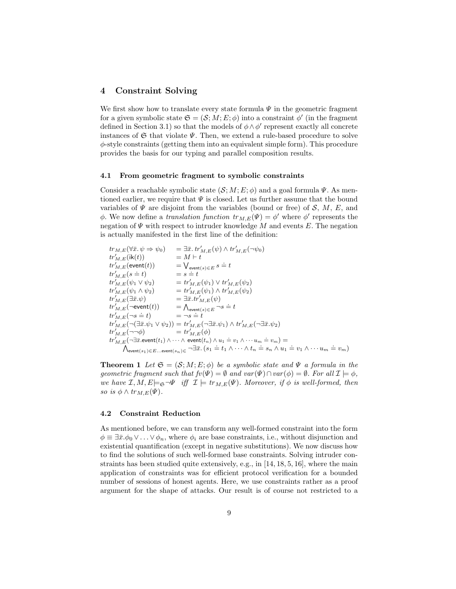# 4 Constraint Solving

We first show how to translate every state formula  $\Psi$  in the geometric fragment for a given symbolic state  $\mathfrak{S} = (\mathcal{S}; M; E; \phi)$  into a constraint  $\phi'$  (in the fragment defined in Section 3.1) so that the models of  $\phi \wedge \phi'$  represent exactly all concrete instances of  $\mathfrak S$  that violate  $\Psi$ . Then, we extend a rule-based procedure to solve  $\phi$ -style constraints (getting them into an equivalent simple form). This procedure provides the basis for our typing and parallel composition results.

#### 4.1 From geometric fragment to symbolic constraints

Consider a reachable symbolic state  $(S; M; E; \phi)$  and a goal formula  $\Psi$ . As mentioned earlier, we require that  $\Psi$  is closed. Let us further assume that the bound variables of  $\Psi$  are disjoint from the variables (bound or free) of  $S, M, E$ , and  $\phi$ . We now define a *translation function*  $tr_{M,E}(\Psi) = \phi'$  where  $\phi'$  represents the negation of  $\Psi$  with respect to intruder knowledge M and events E. The negation is actually manifested in the first line of the definition:

$$
\begin{array}{lll} tr_{M,E}(\forall \bar{x},\psi\Rightarrow \psi_0) & = \exists \bar{x}. \ tr'_{M,E}(\psi) \wedge tr'_{M,E}(\neg \psi_0) \\ tr'_{M,E}(\mathrm{ik}(t)) & = M \vdash t \\ tr'_{M,E}(\mathrm{event}(t)) & = \bigvee_{\mathrm{event}(s) \in E} s = t \\ tr'_{M,E}(s=t) & = s=t \\ tr'_{M,E}(\psi_1 \vee \psi_2) & = tr'_{M,E}(\psi_1) \vee tr'_{M,E}(\psi_2) \\ tr'_{M,E}(\psi_1 \wedge \psi_2) & = tr'_{M,E}(\psi_1) \wedge tr'_{M,E}(\psi_2) \\ tr'_{M,E}(\exists \bar{x}.\psi) & = \exists \bar{x}. tr'_{M,E}(\psi) \\ tr'_{M,E}(\neg \mathrm{event}(t)) & = \bigwedge_{\mathrm{event}(s) \in E} \neg s = t \\ tr'_{M,E}(\neg \mathrm{cent}(t)) & = \bigwedge_{\mathrm{event}(s) \in E} \neg s = t \\ tr'_{M,E}(\neg \exists \bar{x}.\psi_1 \vee \psi_2)) = tr'_{M,E}(\neg \exists \bar{x}.\psi_1) \wedge tr'_{M,E}(\neg \exists \bar{x}.\psi_2) \\ tr'_{M,E}(\neg \neg \phi) & = tr'_{M,E}(\phi) \\ tr'_{M,E}(\neg \exists \bar{x}.\mathrm{event}(t_1) \wedge \cdots \wedge \mathrm{event}(t_n) \wedge u_1 = v_1 \wedge \cdots u_m = v_m) = \\ \bigwedge_{\mathrm{event}(s_1) \in E\ldots\mathrm{event}(s_n) \in \neg \exists \bar{x}. \ (s_1 = t_1 \wedge \cdots \wedge t_n = s_n \wedge u_1 = v_1 \wedge \cdots u_m = v_m) \end{array}
$$

**Theorem 1** Let  $\mathfrak{S} = (\mathcal{S}; M; E; \phi)$  be a symbolic state and  $\Psi$  a formula in the geometric fragment such that  $fv(\Psi) = \emptyset$  and  $var(\Psi) \cap var(\phi) = \emptyset$ . For all  $\mathcal{I} \models \phi$ , we have  $\mathcal{I}, M, E \models_{\mathfrak{S}} \neg \Psi$  iff  $\mathcal{I} \models tr_{M,E}(\Psi)$ . Moreover, if  $\phi$  is well-formed, then so is  $\phi \wedge tr_{M,E}(\Psi)$ .

#### 4.2 Constraint Reduction

As mentioned before, we can transform any well-formed constraint into the form  $\phi \equiv \exists \bar{x}.\phi_0 \vee \ldots \vee \phi_n$ , where  $\phi_i$  are base constraints, i.e., without disjunction and existential quantification (except in negative substitutions). We now discuss how to find the solutions of such well-formed base constraints. Solving intruder constraints has been studied quite extensively, e.g., in [14, 18, 5, 16], where the main application of constraints was for efficient protocol verification for a bounded number of sessions of honest agents. Here, we use constraints rather as a proof argument for the shape of attacks. Our result is of course not restricted to a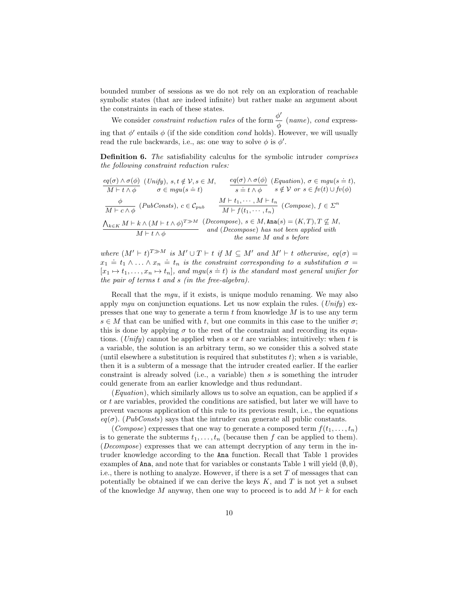bounded number of sessions as we do not rely on an exploration of reachable symbolic states (that are indeed infinite) but rather make an argument about the constraints in each of these states.

We consider *constraint reduction rules* of the form  $\frac{\phi'}{4}$  $\frac{\varphi}{\phi}$  (name), cond expressing that  $\phi'$  entails  $\phi$  (if the side condition *cond* holds). However, we will usually read the rule backwards, i.e., as: one way to solve  $\phi$  is  $\phi'$ .

Definition 6. The satisfiability calculus for the symbolic intruder comprises the following constraint reduction rules:

$$
\frac{eq(\sigma) \land \sigma(\phi)}{M + t \land \phi} \quad (Unify), \ s, t \notin V, s \in M, \qquad \frac{eq(\sigma) \land \sigma(\phi)}{s \doteq t \land \phi} \quad (Equation), \ \sigma \in mgu(s \doteq t),
$$
\n
$$
\frac{\phi}{M + c \land \phi} \quad (PubConsts), \ c \in C_{pub} \quad \frac{M + t_1, \cdots, M + t_n}{M + f(t_1, \cdots, t_n)} \quad (Compose), \ f \in \Sigma^n
$$
\n
$$
\frac{\Lambda_{k \in K} M + k \land (M + t \land \phi)^{T \gg M} \quad (Decompose), \ s \in M, \text{Ana}(s) = (K, T), T \not\subseteq M, \ A_{k \in K} M + t \land \phi \quad \text{and} \ (Decompose) \ has \ not \ been \ applied \ with \ the \ same \ M \ and \ s \ before
$$

where  $(M' \vdash t)^{T \gg M}$  is  $M' \cup T \vdash t$  if  $M \subseteq M'$  and  $M' \vdash t$  otherwise,  $eq(\sigma)$  =  $x_1 \doteq t_1 \wedge \ldots \wedge x_n \doteq t_n$  is the constraint corresponding to a substitution  $\sigma =$  $[x_1 \mapsto t_1, \ldots, x_n \mapsto t_n],$  and  $mgu(s \doteq t)$  is the standard most general unifier for the pair of terms t and s (in the free-algebra).

Recall that the mgu, if it exists, is unique modulo renaming. We may also apply mgu on conjunction equations. Let us now explain the rules. (Unify) expresses that one way to generate a term t from knowledge  $M$  is to use any term  $s \in M$  that can be unified with t, but one commits in this case to the unifier  $\sigma$ ; this is done by applying  $\sigma$  to the rest of the constraint and recording its equations. (Unify) cannot be applied when s or t are variables; intuitively: when t is a variable, the solution is an arbitrary term, so we consider this a solved state (until elsewhere a substitution is required that substitutes  $t$ ); when s is variable, then it is a subterm of a message that the intruder created earlier. If the earlier constraint is already solved (i.e., a variable) then s is something the intruder could generate from an earlier knowledge and thus redundant.

 $(Equation)$ , which similarly allows us to solve an equation, can be applied if s or  $t$  are variables, provided the conditions are satisfied, but later we will have to prevent vacuous application of this rule to its previous result, i.e., the equations  $eq(\sigma)$ . (PubConsts) says that the intruder can generate all public constants.

(*Compose*) expresses that one way to generate a composed term  $f(t_1, \ldots, t_n)$ is to generate the subterms  $t_1, \ldots, t_n$  (because then f can be applied to them). (Decompose) expresses that we can attempt decryption of any term in the intruder knowledge according to the Ana function. Recall that Table 1 provides examples of Ana, and note that for variables or constants Table 1 will yield  $(\emptyset, \emptyset)$ , i.e., there is nothing to analyze. However, if there is a set  $T$  of messages that can potentially be obtained if we can derive the keys  $K$ , and  $T$  is not yet a subset of the knowledge M anyway, then one way to proceed is to add  $M \vdash k$  for each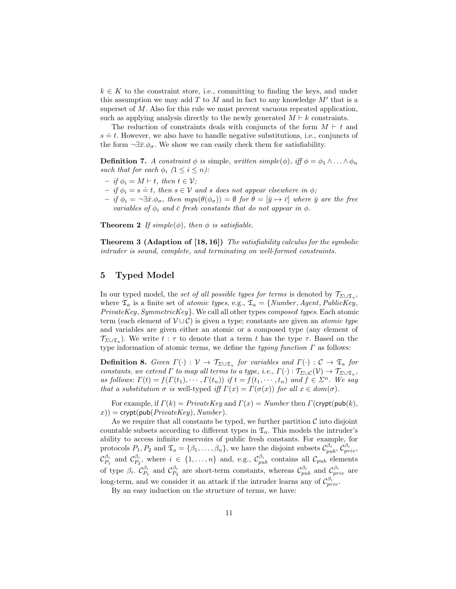$k \in K$  to the constraint store, i.e., committing to finding the keys, and under this assumption we may add  $T$  to  $M$  and in fact to any knowledge  $M'$  that is a superset of M. Also for this rule we must prevent vacuous repeated application, such as applying analysis directly to the newly generated  $M \vdash k$  constraints.

The reduction of constraints deals with conjuncts of the form  $M \vdash t$  and  $s = t$ . However, we also have to handle negative substitutions, i.e., conjuncts of the form  $\neg \exists \bar{x}.\phi_{\sigma}$ . We show we can easily check them for satisfiability.

**Definition 7.** A constraint  $\phi$  is simple, written simple( $\phi$ ), iff  $\phi = \phi_1 \wedge \ldots \wedge \phi_n$ such that for each  $\phi_i$   $(1 \leq i \leq n)$ :

- $-$  if  $\phi_i = M \vdash t$ , then  $t \in \mathcal{V}$ ;
- $\begin{aligned} \n\psi_{q} &= \mathbf{H} + \mathbf{v}, \text{ then } \mathbf{v} \in \mathbf{V}, \\
&\quad \text{ if } \phi_{i} = s \doteq t, \text{ then } s \in \mathcal{V} \text{ and } s \text{ does not appear elsewhere in } \phi; \n\end{aligned}$
- if  $\phi_i = \exists \bar{x} \ldotp \phi_{\sigma}$ , then  $mgu(\theta(\phi_{\sigma})) = \emptyset$  for  $\theta = [\bar{y} \mapsto \bar{c}]$  where  $\bar{y}$  are the free variables of  $\phi_i$  and  $\bar{c}$  fresh constants that do not appear in  $\phi$ .

**Theorem 2** If  $simple(\phi)$ , then  $\phi$  is satisfiable.

Theorem 3 (Adaption of [18, 16]) The satisfiability calculus for the symbolic intruder is sound, complete, and terminating on well-formed constraints.

# 5 Typed Model

In our typed model, the set of all possible types for terms is denoted by  $\mathcal{T}_{\Sigma\cup\mathfrak{T}_a}$ , where  $\mathfrak{T}_a$  is a finite set of atomic types, e.g.,  $\mathfrak{T}_a = \{Number, Agent, PublicKey,$ PrivateKey, SymmetricKey}. We call all other types composed types. Each atomic term (each element of  $V \cup C$ ) is given a type; constants are given an *atomic type* and variables are given either an atomic or a composed type (any element of  $\mathcal{T}_{\Sigma\cup\mathfrak{T}_a}$ ). We write  $t:\tau$  to denote that a term t has the type  $\tau$ . Based on the type information of atomic terms, we define the typing function  $\Gamma$  as follows:

**Definition 8.** Given  $\Gamma(\cdot) : \mathcal{V} \to \mathcal{T}_{\Sigma \cup \mathfrak{T}_a}$  for variables and  $\Gamma(\cdot) : \mathcal{C} \to \mathfrak{T}_a$  for constants, we extend  $\Gamma$  to map all terms to a type, i.e.,  $\Gamma(\cdot) : \mathcal{T}_{\Sigma \cup \mathcal{C}}(\mathcal{V}) \to \mathcal{T}_{\Sigma \cup \mathcal{I}_a}$ , as follows:  $\Gamma(t) = f(\Gamma(t_1), \cdots, \Gamma(t_n))$  if  $t = f(t_1, \cdots, t_n)$  and  $f \in \Sigma^n$ . We say that a substitution  $\sigma$  is well-typed iff  $\Gamma(x) = \Gamma(\sigma(x))$  for all  $x \in dom(\sigma)$ .

For example, if  $\Gamma(k) = PrivateKey$  and  $\Gamma(x) = Number$  then  $\Gamma(\text{crypt}(\text{pub}(k)),$  $(x)) = \text{crypt}(\text{pub}(PrivateKey), Number).$ 

As we require that all constants be typed, we further partition  $\mathcal C$  into disjoint countable subsets according to different types in  $\mathfrak{T}_a$ . This models the intruder's ability to access infinite reservoirs of public fresh constants. For example, for protocols  $P_1, P_2$  and  $\mathfrak{T}_a = \{\beta_1, \ldots, \beta_n\}$ , we have the disjoint subsets  $\mathcal{C}_{pub}^{\beta_i}, \mathcal{C}_{priv}^{\beta_i},$  $\mathcal{C}_{P_1}^{\beta_i}$  and  $\mathcal{C}_{P_2}^{\beta_i}$ , where  $i \in \{1,\ldots,n\}$  and, e.g.,  $\mathcal{C}_{pub}^{\beta_i}$  contains all  $\mathcal{C}_{pub}$  elements of type  $\beta_i$ .  $\mathcal{C}_{P_1}^{\beta_i}$  and  $\mathcal{C}_{P_2}^{\beta_i}$  are short-term constants, whereas  $\mathcal{C}_{pub}^{\beta_i}$  and  $\mathcal{C}_{priv}^{\beta_i}$  are long-term, and we consider it an attack if the intruder learns any of  $\mathcal{C}_{priv}^{\beta_i}$ .

By an easy induction on the structure of terms, we have: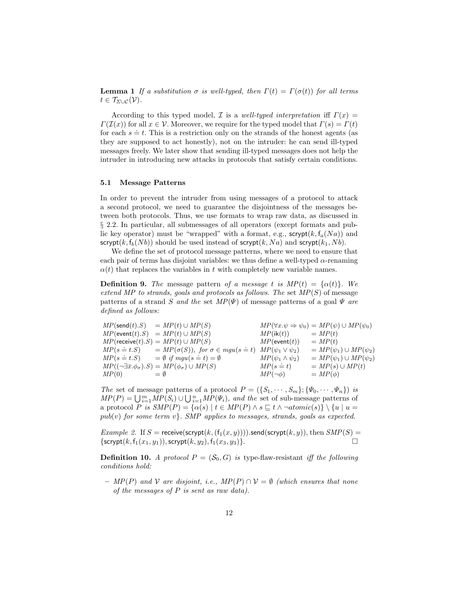**Lemma 1** If a substitution  $\sigma$  is well-typed, then  $\Gamma(t) = \Gamma(\sigma(t))$  for all terms  $t \in \mathcal{T}_{\Sigma \cup \mathcal{C}}(\mathcal{V}).$ 

According to this typed model, I is a well-typed interpretation iff  $\Gamma(x)$  =  $\Gamma(\mathcal{I}(x))$  for all  $x \in \mathcal{V}$ . Moreover, we require for the typed model that  $\Gamma(s) = \Gamma(t)$ for each  $s \doteq t$ . This is a restriction only on the strands of the honest agents (as they are supposed to act honestly), not on the intruder: he can send ill-typed messages freely. We later show that sending ill-typed messages does not help the intruder in introducing new attacks in protocols that satisfy certain conditions.

#### 5.1 Message Patterns

In order to prevent the intruder from using messages of a protocol to attack a second protocol, we need to guarantee the disjointness of the messages between both protocols. Thus, we use formats to wrap raw data, as discussed in § 2.2. In particular, all submessages of all operators (except formats and public key operator) must be "wrapped" with a format, e.g.,  $\mathsf{scrypt}(k, f_a(Na))$  and scrypt(k,  $f_b(Nb)$ ) should be used instead of scrypt(k, Na) and scrypt(k<sub>1</sub>, Nb).

We define the set of protocol message patterns, where we need to ensure that each pair of terms has disjoint variables: we thus define a well-typed  $\alpha$ -renaming  $\alpha(t)$  that replaces the variables in t with completely new variable names.

**Definition 9.** The message pattern of a message t is  $MP(t) = {\alpha(t)}$ . We extend MP to strands, goals and protocols as follows. The set  $MP(S)$  of message patterns of a strand S and the set  $MP(\Psi)$  of message patterns of a goal  $\Psi$  are defined as follows:

 $MP(\mathsf{send}(t).S) = MP(t) \cup MP(S)$  $MP(\text{event}(t).S) = MP(t) \cup MP(S)$  $MP(receive(t).S) = MP(t) \cup MP(S)$  $MP(s \doteq t.S)$  $\begin{aligned} \n\text{etc.}(\varepsilon), \n\therefore \quad & \text{if } (\varepsilon) \leq \text{if } (\varepsilon) \\ \n\text{if } t & \in S \n\end{aligned}$  $MP(s \doteq t.S)$  $\begin{array}{lll} \n\hline \n= & t.S \\
\hline \n= & t.S\n\end{array}$  = Ø if mgu(s = t) = Ø  $MP((\neg \exists \bar{x}.\phi_{\sigma}).S) = MP(\phi_{\sigma}) \cup MP(S)$  $MP(0)$  =  $\emptyset$  $MP(\forall x.\psi \Rightarrow \psi_0) = MP(\psi) \cup MP(\psi_0)$  $MP(\mathsf{ik}(t)) = MP(t)$  $MP(\text{event}(t)) = MP(t)$  $= MP(\psi_1) \cup MP(\psi_2)$  $MP(\psi_1 \wedge \psi_2)$  =  $MP(\psi_1) \cup MP(\psi_2)$  $MP(s \doteq t)$  $= MP(s) \cup MP(t)$  $MP(\neg \phi)$  =  $MP(\phi)$ 

The set of message patterns of a protocol  $P = (\{S_1, \dots, S_m\}; \{\Psi_0, \dots, \Psi_n\})$  is  $MP(P) = \bigcup_{i=1}^{m} MP(S_i) \cup \bigcup_{i=1}^{n} MP(\Psi_i)$ , and the set of sub-message patterns of a protocol P is  $SMP(P) = {\alpha(s) | t \in MP(P) \land s \sqsubseteq t \land \neg atomic(s)} \setminus {u | u =$  $pub(v)$  for some term  $v\}$ . SMP applies to messages, strands, goals as expected.

*Example 2.* If  $S =$  receive(scrypt(k,  $(f_1(x, y))$ ). send(scrypt(k, y)), then  $SMP(S) =$ {scrypt(k, f<sub>1</sub>(x<sub>1</sub>, y<sub>1</sub>)), scrypt(k, y<sub>2</sub>), f<sub>1</sub>(x<sub>3</sub>, y<sub>3</sub>)}.

**Definition 10.** A protocol  $P = (\mathcal{S}_0, G)$  is type-flaw-resistant iff the following conditions hold:

– MP(P) and V are disjoint, i.e., MP(P)  $\cap$  V = Ø (which ensures that none of the messages of  $P$  is sent as raw data).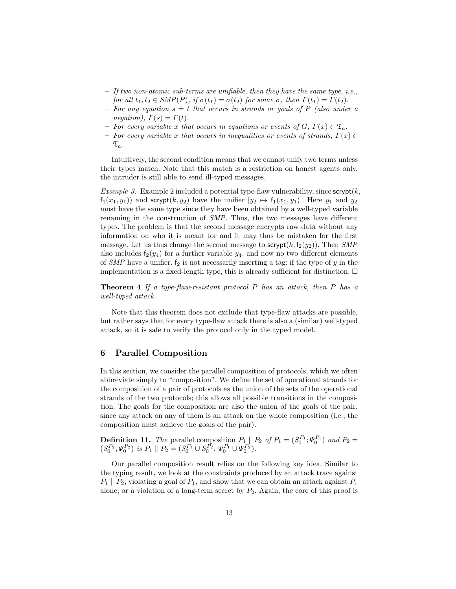- $-$  If two non-atomic sub-terms are unifiable, then they have the same type, i.e., for all  $t_1, t_2 \in SMP(P)$ , if  $\sigma(t_1) = \sigma(t_2)$  for some  $\sigma$ , then  $\Gamma(t_1) = \Gamma(t_2)$ .
- $-$  For any equation  $s = t$  that occurs in strands or goals of P (also under a negation),  $\Gamma(s) = \Gamma(t)$ .
- For every variable x that occurs in equations or events of G,  $\Gamma(x) \in \mathfrak{T}_a$ .
- For every variable x that occurs in inequalities or events of strands,  $\Gamma(x) \in$  $\mathfrak{T}_a$ .

Intuitively, the second condition means that we cannot unify two terms unless their types match. Note that this match is a restriction on honest agents only, the intruder is still able to send ill-typed messages.

Example 3. Example 2 included a potential type-flaw vulnerability, since  $\mathsf{scrypt}(k,$  $f_1(x_1, y_1)$  and scrypt $(k, y_2)$  have the unifier  $[y_2 \mapsto f_1(x_1, y_1)]$ . Here  $y_1$  and  $y_2$ must have the same type since they have been obtained by a well-typed variable renaming in the construction of SMP. Thus, the two messages have different types. The problem is that the second message encrypts raw data without any information on who it is meant for and it may thus be mistaken for the first message. Let us thus change the second message to  $scrypt(k, f_2(y_2))$ . Then SMP also includes  $f_2(y_4)$  for a further variable  $y_4$ , and now no two different elements of SMP have a unifier.  $f_2$  is not necessarily inserting a tag: if the type of y in the implementation is a fixed-length type, this is already sufficient for distinction.  $\Box$ 

**Theorem 4** If a type-flaw-resistant protocol  $P$  has an attack, then  $P$  has a well-typed attack.

Note that this theorem does not exclude that type-flaw attacks are possible, but rather says that for every type-flaw attack there is also a (similar) well-typed attack, so it is safe to verify the protocol only in the typed model.

# 6 Parallel Composition

In this section, we consider the parallel composition of protocols, which we often abbreviate simply to "composition". We define the set of operational strands for the composition of a pair of protocols as the union of the sets of the operational strands of the two protocols; this allows all possible transitions in the composition. The goals for the composition are also the union of the goals of the pair, since any attack on any of them is an attack on the whole composition (i.e., the composition must achieve the goals of the pair).

**Definition 11.** The parallel composition  $P_1 \parallel P_2$  of  $P_1 = (S_0^{P_1}; \Psi_0^{P_1})$  and  $P_2 =$  $(S_0^{P_2}; \Psi_0^{P_2})$  is  $P_1 \parallel P_2 = (S_0^{P_1} \cup S_0^{P_2}; \Psi_0^{P_1} \cup \Psi_0^{P_2}).$ 

Our parallel composition result relies on the following key idea. Similar to the typing result, we look at the constraints produced by an attack trace against  $P_1 \parallel P_2$ , violating a goal of  $P_1$ , and show that we can obtain an attack against  $P_1$ alone, or a violation of a long-term secret by  $P_2$ . Again, the core of this proof is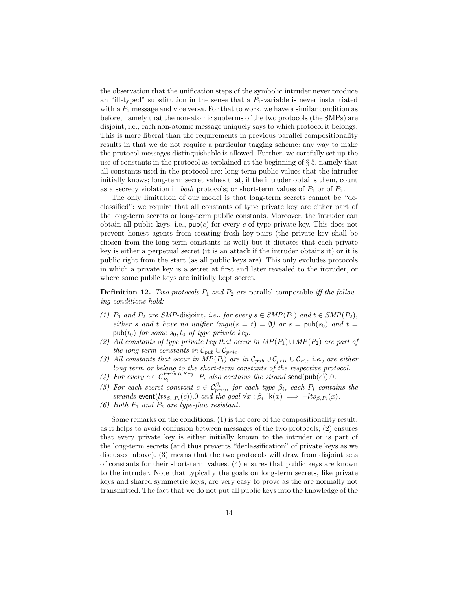the observation that the unification steps of the symbolic intruder never produce an "ill-typed" substitution in the sense that a  $P_1$ -variable is never instantiated with a  $P_2$  message and vice versa. For that to work, we have a similar condition as before, namely that the non-atomic subterms of the two protocols (the SMPs) are disjoint, i.e., each non-atomic message uniquely says to which protocol it belongs. This is more liberal than the requirements in previous parallel compositionality results in that we do not require a particular tagging scheme: any way to make the protocol messages distinguishable is allowed. Further, we carefully set up the use of constants in the protocol as explained at the beginning of § 5, namely that all constants used in the protocol are: long-term public values that the intruder initially knows; long-term secret values that, if the intruder obtains them, count as a secrecy violation in *both* protocols; or short-term values of  $P_1$  or of  $P_2$ .

The only limitation of our model is that long-term secrets cannot be "declassified": we require that all constants of type private key are either part of the long-term secrets or long-term public constants. Moreover, the intruder can obtain all public keys, i.e.,  $\mathsf{pub}(c)$  for every c of type private key. This does not prevent honest agents from creating fresh key-pairs (the private key shall be chosen from the long-term constants as well) but it dictates that each private key is either a perpetual secret (it is an attack if the intruder obtains it) or it is public right from the start (as all public keys are). This only excludes protocols in which a private key is a secret at first and later revealed to the intruder, or where some public keys are initially kept secret.

**Definition 12.** Two protocols  $P_1$  and  $P_2$  are parallel-composable iff the following conditions hold:

- (1)  $P_1$  and  $P_2$  are SMP-disjoint, i.e., for every  $s \in SMP(P_1)$  and  $t \in SMP(P_2)$ , either s and t have no unifier  $(mgu(s \doteq t) = \emptyset)$  or  $s = \text{pub}(s_0)$  and  $t =$  ${\sf pub}(t_0)$  for some  $s_0, t_0$  of type private key.
- (2) All constants of type private key that occur in  $MP(P_1) \cup MP(P_2)$  are part of the long-term constants in  $\mathcal{C}_{pub} \cup \mathcal{C}_{priv}.$
- (3) All constants that occur in  $MP(P_i)$  are in  $\mathcal{C}_{pub} \cup \mathcal{C}_{Priv} \cup \mathcal{C}_{P_i}$ , i.e., are either long term or belong to the short-term constants of the respective protocol.
- (4) For every  $c \in C_{P_i}^{PrivateKey}$ ,  $P_i$  also contains the strand send(pub(c)).0.
- (5) For each secret constant  $c \in \mathcal{C}_{priv}^{\beta_i}$ , for each type  $\beta_i$ , each  $P_i$  contains the strands event $(lts_{\beta_i,P_i}(c))$ . 0 and the goal  $\forall x : \beta_i$ . ik $(x) \implies \neg lts_{\beta,P_i}(x)$ .
- (6) Both  $P_1$  and  $P_2$  are type-flaw resistant.

Some remarks on the conditions: (1) is the core of the compositionality result, as it helps to avoid confusion between messages of the two protocols; (2) ensures that every private key is either initially known to the intruder or is part of the long-term secrets (and thus prevents "declassification" of private keys as we discussed above). (3) means that the two protocols will draw from disjoint sets of constants for their short-term values. (4) ensures that public keys are known to the intruder. Note that typically the goals on long-term secrets, like private keys and shared symmetric keys, are very easy to prove as the are normally not transmitted. The fact that we do not put all public keys into the knowledge of the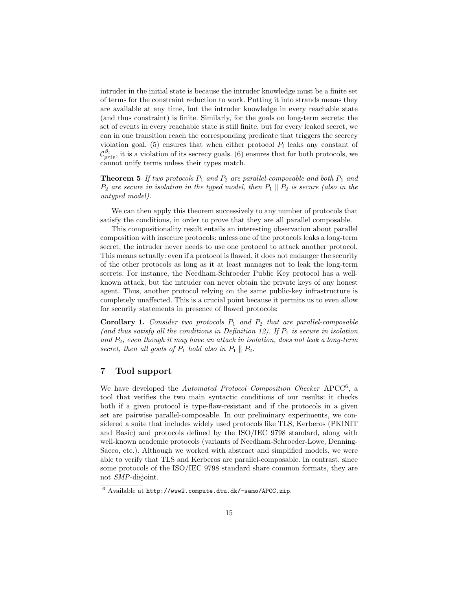intruder in the initial state is because the intruder knowledge must be a finite set of terms for the constraint reduction to work. Putting it into strands means they are available at any time, but the intruder knowledge in every reachable state (and thus constraint) is finite. Similarly, for the goals on long-term secrets: the set of events in every reachable state is still finite, but for every leaked secret, we can in one transition reach the corresponding predicate that triggers the secrecy violation goal. (5) ensures that when either protocol  $P_i$  leaks any constant of  $\mathcal{C}_{priv}^{\beta_i}$ , it is a violation of its secrecy goals. (6) ensures that for both protocols, we cannot unify terms unless their types match.

**Theorem 5** If two protocols  $P_1$  and  $P_2$  are parallel-composable and both  $P_1$  and  $P_2$  are secure in isolation in the typed model, then  $P_1 \parallel P_2$  is secure (also in the untyped model).

We can then apply this theorem successively to any number of protocols that satisfy the conditions, in order to prove that they are all parallel composable.

This compositionality result entails an interesting observation about parallel composition with insecure protocols: unless one of the protocols leaks a long-term secret, the intruder never needs to use one protocol to attack another protocol. This means actually: even if a protocol is flawed, it does not endanger the security of the other protocols as long as it at least manages not to leak the long-term secrets. For instance, the Needham-Schroeder Public Key protocol has a wellknown attack, but the intruder can never obtain the private keys of any honest agent. Thus, another protocol relying on the same public-key infrastructure is completely unaffected. This is a crucial point because it permits us to even allow for security statements in presence of flawed protocols:

**Corollary 1.** Consider two protocols  $P_1$  and  $P_2$  that are parallel-composable (and thus satisfy all the conditions in Definition 12). If  $P_1$  is secure in isolation and  $P_2$ , even though it may have an attack in isolation, does not leak a long-term secret, then all goals of  $P_1$  hold also in  $P_1 \parallel P_2$ .

# 7 Tool support

We have developed the Automated Protocol Composition Checker APCC<sup>6</sup>, a tool that verifies the two main syntactic conditions of our results: it checks both if a given protocol is type-flaw-resistant and if the protocols in a given set are pairwise parallel-composable. In our preliminary experiments, we considered a suite that includes widely used protocols like TLS, Kerberos (PKINIT and Basic) and protocols defined by the ISO/IEC 9798 standard, along with well-known academic protocols (variants of Needham-Schroeder-Lowe, Denning-Sacco, etc.). Although we worked with abstract and simplified models, we were able to verify that TLS and Kerberos are parallel-composable. In contrast, since some protocols of the ISO/IEC 9798 standard share common formats, they are not SMP-disjoint.

 $6$  Available at http://www2.compute.dtu.dk/~samo/APCC.zip.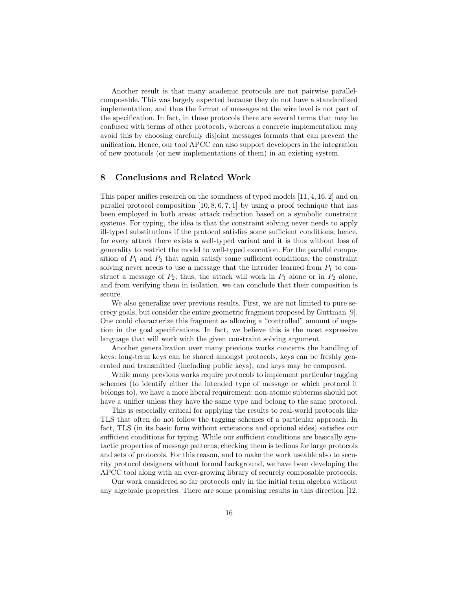Another result is that many academic protocols are not pairwise parallelcomposable. This was largely expected because they do not have a standardized implementation, and thus the format of messages at the wire level is not part of the specification. In fact, in these protocols there are several terms that may be confused with terms of other protocols, whereas a concrete implementation may avoid this by choosing carefully disjoint messages formats that can prevent the unification. Hence, our tool APCC can also support developers in the integration of new protocols (or new implementations of them) in an existing system.

## 8 Conclusions and Related Work

This paper unifies research on the soundness of typed models [11, 4, 16, 2] and on parallel protocol composition  $[10, 8, 6, 7, 1]$  by using a proof technique that has been employed in both areas: attack reduction based on a symbolic constraint systems. For typing, the idea is that the constraint solving never needs to apply ill-typed substitutions if the protocol satisfies some sufficient conditions; hence, for every attack there exists a well-typed variant and it is thus without loss of generality to restrict the model to well-typed execution. For the parallel composition of  $P_1$  and  $P_2$  that again satisfy some sufficient conditions, the constraint solving never needs to use a message that the intruder learned from  $P_1$  to construct a message of  $P_2$ ; thus, the attack will work in  $P_1$  alone or in  $P_2$  alone, and from verifying them in isolation, we can conclude that their composition is secure.

We also generalize over previous results. First, we are not limited to pure secrecy goals, but consider the entire geometric fragment proposed by Guttman [9]. One could characterize this fragment as allowing a "controlled" amount of negation in the goal specifications. In fact, we believe this is the most expressive language that will work with the given constraint solving argument.

Another generalization over many previous works concerns the handling of keys: long-term keys can be shared amongst protocols, keys can be freshly generated and transmitted (including public keys), and keys may be composed.

While many previous works require protocols to implement particular tagging schemes (to identify either the intended type of message or which protocol it belongs to), we have a more liberal requirement: non-atomic subterms should not have a unifier unless they have the same type and belong to the same protocol.

This is especially critical for applying the results to real-world protocols like TLS that often do not follow the tagging schemes of a particular approach. In fact, TLS (in its basic form without extensions and optional sides) satisfies our sufficient conditions for typing. While our sufficient conditions are basically syntactic properties of message patterns, checking them is tedious for large protocols and sets of protocols. For this reason, and to make the work useable also to security protocol designers without formal background, we have been developing the APCC tool along with an ever-growing library of securely composable protocols.

Our work considered so far protocols only in the initial term algebra without any algebraic properties. There are some promising results in this direction [12,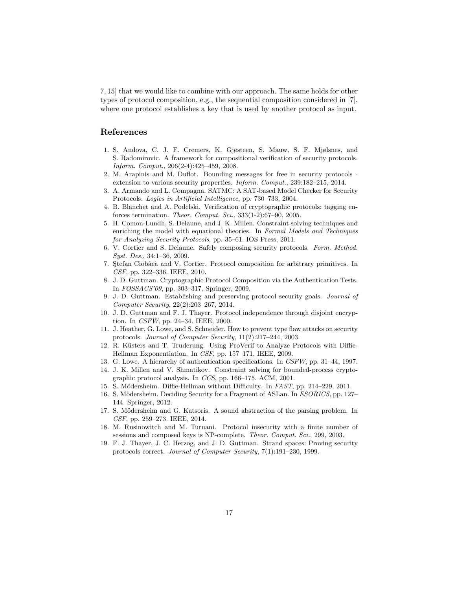7, 15] that we would like to combine with our approach. The same holds for other types of protocol composition, e.g., the sequential composition considered in [7], where one protocol establishes a key that is used by another protocol as input.

# References

- 1. S. Andova, C. J. F. Cremers, K. Gjøsteen, S. Mauw, S. F. Mjølsnes, and S. Radomirovic. A framework for compositional verification of security protocols. Inform. Comput., 206(2-4):425–459, 2008.
- 2. M. Arapinis and M. Duflot. Bounding messages for free in security protocols extension to various security properties. Inform. Comput., 239:182–215, 2014.
- 3. A. Armando and L. Compagna. SATMC: A SAT-based Model Checker for Security Protocols. Logics in Artificial Intelligence, pp. 730–733, 2004.
- 4. B. Blanchet and A. Podelski. Verification of cryptographic protocols: tagging enforces termination. Theor. Comput. Sci., 333(1-2):67–90, 2005.
- 5. H. Comon-Lundh, S. Delaune, and J. K. Millen. Constraint solving techniques and enriching the model with equational theories. In Formal Models and Techniques for Analyzing Security Protocols, pp. 35–61. IOS Press, 2011.
- 6. V. Cortier and S. Delaune. Safely composing security protocols. Form. Method. Syst. Des., 34:1–36, 2009.
- 7. Stefan Ciobâcă and V. Cortier. Protocol composition for arbitrary primitives. In CSF, pp. 322–336. IEEE, 2010.
- 8. J. D. Guttman. Cryptographic Protocol Composition via the Authentication Tests. In FOSSACS'09, pp. 303–317. Springer, 2009.
- 9. J. D. Guttman. Establishing and preserving protocol security goals. Journal of Computer Security, 22(2):203–267, 2014.
- 10. J. D. Guttman and F. J. Thayer. Protocol independence through disjoint encryption. In CSFW, pp. 24–34. IEEE, 2000.
- 11. J. Heather, G. Lowe, and S. Schneider. How to prevent type flaw attacks on security protocols. Journal of Computer Security, 11(2):217–244, 2003.
- 12. R. Küsters and T. Truderung. Using ProVerif to Analyze Protocols with Diffie-Hellman Exponentiation. In CSF, pp. 157–171. IEEE, 2009.
- 13. G. Lowe. A hierarchy of authentication specifications. In CSFW, pp. 31–44, 1997.
- 14. J. K. Millen and V. Shmatikov. Constraint solving for bounded-process cryptographic protocol analysis. In CCS, pp. 166–175. ACM, 2001.
- 15. S. Mödersheim. Diffie-Hellman without Difficulty. In FAST, pp. 214–229, 2011.
- 16. S. Mödersheim. Deciding Security for a Fragment of ASLan. In ESORICS, pp. 127– 144. Springer, 2012.
- 17. S. Mödersheim and G. Katsoris. A sound abstraction of the parsing problem. In CSF, pp. 259–273. IEEE, 2014.
- 18. M. Rusinowitch and M. Turuani. Protocol insecurity with a finite number of sessions and composed keys is NP-complete. Theor. Comput. Sci., 299, 2003.
- 19. F. J. Thayer, J. C. Herzog, and J. D. Guttman. Strand spaces: Proving security protocols correct. Journal of Computer Security, 7(1):191–230, 1999.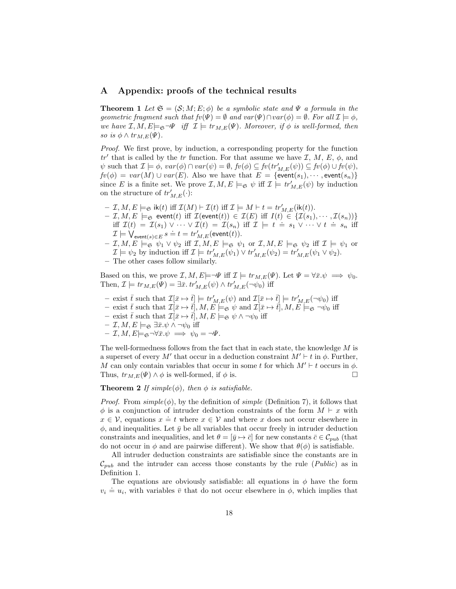## A Appendix: proofs of the technical results

**Theorem 1** Let  $\mathfrak{S} = (\mathcal{S}; M; E; \phi)$  be a symbolic state and  $\Psi$  a formula in the geometric fragment such that  $fv(\Psi) = \emptyset$  and  $var(\Psi) \cap var(\phi) = \emptyset$ . For all  $\mathcal{I} \models \phi$ , we have  $\mathcal{I}, M, E \models_{\mathfrak{S}} \neg \Psi$  iff  $\mathcal{I} \models tr_{M,E}(\Psi)$ . Moreover, if  $\phi$  is well-formed, then so is  $\phi \wedge tr_{M,E}(\Psi)$ .

Proof. We first prove, by induction, a corresponding property for the function  $tr'$  that is called by the tr function. For that assume we have  $\mathcal{I}, M, E, \phi$ , and  $\psi$  such that  $\mathcal{I} \models \phi$ ,  $var(\phi) \cap var(\psi) = \emptyset$ ,  $fv(\phi) \subseteq fv(tr'_{M,E}(\psi)) \subseteq fv(\phi) \cup fv(\psi)$ ,  $f(v(\phi) = var(M) \cup var(E)$ . Also we have that  $E = \{$ event $(s_1), \dots,$ event $(s_n)\}$ since E is a finite set. We prove  $\mathcal{I}, M, E \models_{\mathfrak{S}} \psi$  iff  $\mathcal{I} \models tr'_{M,E}(\psi)$  by induction on the structure of  $tr'_{M,E}(\cdot)$ :

- $\mathcal{I}, M, E \models_{\mathfrak{S}} \textsf{ik}(t) \text{ iff } \mathcal{I}(M) \vdash \mathcal{I}(t) \text{ iff } \mathcal{I} \models M \vdash t = \textit{tr}'_{M,E}(\textsf{ik}(t)).$
- $(-\mathcal{I}, M, E \models_{\mathfrak{S}} \text{event}(t) \text{ iff } \mathcal{I}(\text{event}(t)) \in \mathcal{I}(E) \text{ iff } I(t) \in \{\mathcal{I}(s_1), \cdots, \mathcal{I}(s_n)\}\$ iff  $\mathcal{I}(t) = \mathcal{I}(s_1) \vee \cdots \vee \mathcal{I}(t) = \mathcal{I}(s_n)$  iff  $\mathcal{I} \models t = s_1 \vee \cdots \vee t = s_n$  iff  $\mathcal{I} \models \bigvee_{\mathsf{event}(s) \in E} s \stackrel{\sim}{=} t = \mathit{tr}'_{M,E}(\mathsf{event}(t)).$
- $-$  I,  $M, E \models_{\mathfrak{S}} \psi_1 \vee \psi_2$  iff  $\mathcal{I}, M, E \models_{\mathfrak{S}} \psi_1$  or  $\mathcal{I}, M, E \models_{\mathfrak{S}} \psi_2$  iff  $\mathcal{I} \models \psi_1$  or  $\mathcal{I} \models \psi_2$  by induction iff  $\mathcal{I} \models tr'_{M,E}(\psi_1) \vee tr'_{M,E}(\psi_2) = tr'_{M,E}(\psi_1 \vee \psi_2)$ .
- The other cases follow similarly.

Based on this, we prove  $\mathcal{I}, M, E \models \neg \Psi$  iff  $\mathcal{I} \models tr_{M,E}(\Psi)$ . Let  $\Psi = \forall \bar{x}.\psi \implies \psi_0$ . Then,  $\mathcal{I} \models tr_{M,E}(\Psi) = \exists \bar{x}. \, tr'_{M,E}(\psi) \wedge tr'_{M,E}(\neg \psi_0)$  iff

- exist  $\bar{t}$  such that  $\mathcal{I}[\bar{x} \mapsto \bar{t}] \models tr'_{M,E}(\psi)$  and  $\mathcal{I}[\bar{x} \mapsto \bar{t}] \models tr'_{M,E}(\neg \psi_0)$  iff
- exist  $\bar{t}$  such that  $\mathcal{I}[\bar{x} \mapsto \bar{t}], M, E \models_{\mathfrak{S}} \psi$  and  $\mathcal{I}[\bar{x} \mapsto \bar{t}], M, E \models_{\mathfrak{S}} \neg \psi_0$  iff
- exist  $\bar{t}$  such that  $\mathcal{I}[\bar{x} \mapsto \bar{t}], M, E \models_{\mathfrak{S}} \psi \wedge \neg \psi_0$  iff
- $\mathcal{I}, M, E \models_{\mathfrak{S}} \exists \bar{x}.\psi \wedge \neg \psi_0$  iff
- $\mathcal{I}, M, E \models_{\mathfrak{S}} \neg \forall \bar{x}.\psi \implies \psi_0 = \neg \Psi.$

The well-formedness follows from the fact that in each state, the knowledge  $M$  is a superset of every M' that occur in a deduction constraint  $M' \vdash t$  in  $\phi$ . Further, M can only contain variables that occur in some t for which  $M' \vdash t$  occurs in  $\phi$ . Thus,  $tr_{M,E}(\Psi) \wedge \phi$  is well-formed, if  $\phi$  is.

**Theorem 2** If  $simple(\phi)$ , then  $\phi$  is satisfiable.

*Proof.* From  $simple(\phi)$ , by the definition of  $simple$  (Definition 7), it follows that  $\phi$  is a conjunction of intruder deduction constraints of the form  $M \vdash x$  with  $x \in V$ , equations  $x \doteq t$  where  $x \in V$  and where x does not occur elsewhere in  $\phi$ , and inequalities. Let  $\bar{y}$  be all variables that occur freely in intruder deduction constraints and inequalities, and let  $\theta = [\bar{y} \mapsto \bar{c}]$  for new constants  $\bar{c} \in \mathcal{C}_{pub}$  (that do not occur in  $\phi$  and are pairwise different). We show that  $\theta(\phi)$  is satisfiable.

All intruder deduction constraints are satisfiable since the constants are in  $\mathcal{C}_{pub}$  and the intruder can access those constants by the rule (*Public*) as in Definition 1.

The equations are obviously satisfiable: all equations in  $\phi$  have the form  $v_i \doteq u_i$ , with variables  $\bar{v}$  that do not occur elsewhere in  $\phi$ , which implies that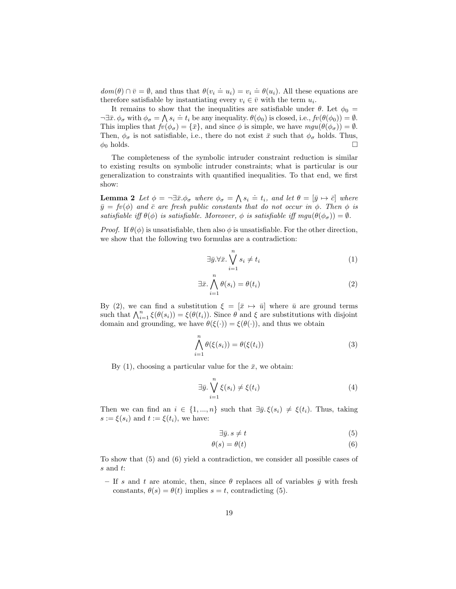$dom(\theta) \cap \overline{v} = \emptyset$ , and thus that  $\theta(v_i \doteq u_i) = v_i \doteq \theta(u_i)$ . All these equations are therefore satisfiable by instantiating every  $v_i \in \overline{v}$  with the term  $u_i$ .

It remains to show that the inequalities are satisfiable under  $\theta$ . Let  $\phi_0 =$  $\nabla \exists \bar{x}.\ \phi_{\sigma}$  with  $\phi_{\sigma} = \bigwedge s_i = t_i$  be any inequality.  $\theta(\phi_0)$  is closed, i.e.,  $fv(\theta(\phi_0)) = \emptyset$ . This implies that  $fv(\phi_{\sigma}) = {\bar{x}}$ , and since  $\phi$  is simple, we have  $mgu(\theta(\phi_{\sigma})) = \emptyset$ . Then,  $\phi_{\sigma}$  is not satisfiable, i.e., there do not exist  $\bar{x}$  such that  $\phi_{\sigma}$  holds. Thus,  $\phi_0$  holds.

The completeness of the symbolic intruder constraint reduction is similar to existing results on symbolic intruder constraints; what is particular is our generalization to constraints with quantified inequalities. To that end, we first show:

**Lemma 2** Let  $\phi = \exists \bar{x} \ldotp \phi_{\sigma}$  where  $\phi_{\sigma} = \bigwedge s_i \doteq t_i$ , and let  $\theta = [\bar{y} \mapsto \bar{c}]$  where  $\bar{y} = f(v(\phi))$  and  $\bar{c}$  are fresh public constants that do not occur in  $\phi$ . Then  $\phi$  is satisfiable iff  $\theta(\phi)$  is satisfiable. Moreover,  $\phi$  is satisfiable iff  $mgu(\theta(\phi_{\sigma})) = \emptyset$ .

*Proof.* If  $\theta(\phi)$  is unsatisfiable, then also  $\phi$  is unsatisfiable. For the other direction, we show that the following two formulas are a contradiction:

$$
\exists \bar{y} . \forall \bar{x} . \bigvee_{i=1}^{n} s_i \neq t_i \tag{1}
$$

$$
\exists \bar{x}.\bigwedge_{i=1}^{n} \theta(s_i) = \theta(t_i) \tag{2}
$$

By (2), we can find a substitution  $\xi = [\bar{x} \mapsto \bar{u}]$  where  $\bar{u}$  are ground terms such that  $\bigwedge_{i=1}^{n} \xi(\theta(s_i)) = \xi(\theta(t_i))$ . Since  $\theta$  and  $\xi$  are substitutions with disjoint domain and grounding, we have  $\theta(\xi(\cdot)) = \xi(\theta(\cdot))$ , and thus we obtain

$$
\bigwedge_{i=1}^{n} \theta(\xi(s_i)) = \theta(\xi(t_i))
$$
\n(3)

By (1), choosing a particular value for the  $\bar{x}$ , we obtain:

$$
\exists \bar{y}.\bigvee_{i=1}^{n} \xi(s_i) \neq \xi(t_i) \tag{4}
$$

Then we can find an  $i \in \{1, ..., n\}$  such that  $\exists \bar{y} \cdot \xi(s_i) \neq \xi(t_i)$ . Thus, taking  $s := \xi(s_i)$  and  $t := \xi(t_i)$ , we have:

$$
\exists \bar{y}. s \neq t \tag{5}
$$

$$
\theta(s) = \theta(t) \tag{6}
$$

To show that (5) and (6) yield a contradiction, we consider all possible cases of s and t:

– If s and t are atomic, then, since  $\theta$  replaces all of variables  $\bar{y}$  with fresh constants,  $\theta(s) = \theta(t)$  implies  $s = t$ , contradicting (5).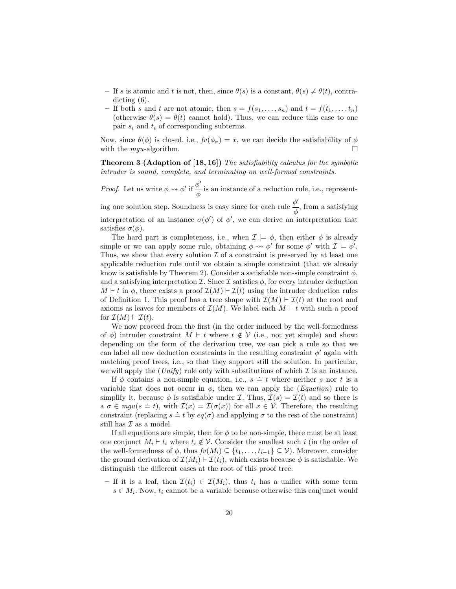- If s is atomic and t is not, then, since  $\theta(s)$  is a constant,  $\theta(s) \neq \theta(t)$ , contradicting (6).
- If both s and t are not atomic, then  $s = f(s_1, \ldots, s_n)$  and  $t = f(t_1, \ldots, t_n)$ (otherwise  $\theta(s) = \theta(t)$  cannot hold). Thus, we can reduce this case to one pair  $s_i$  and  $t_i$  of corresponding subterms.

Now, since  $\theta(\phi)$  is closed, i.e.,  $fv(\phi_{\sigma}) = \bar{x}$ , we can decide the satisfiability of  $\phi$ with the  $mqu$ -algorithm.

Theorem 3 (Adaption of [18, 16]) The satisfiability calculus for the symbolic intruder is sound, complete, and terminating on well-formed constraints.

*Proof.* Let us write  $\phi \rightsquigarrow \phi'$  if  $\frac{\phi'}{4}$  $\frac{\varphi}{\phi}$  is an instance of a reduction rule, i.e., represent-

ing one solution step. Soundness is easy since for each rule  $\frac{\phi'}{4}$  $\frac{\varphi}{\phi}$ , from a satisfying interpretation of an instance  $\sigma(\phi')$  of  $\phi'$ , we can derive an interpretation that satisfies  $\sigma(\phi)$ .

The hard part is completeness, i.e., when  $\mathcal{I} \models \phi$ , then either  $\phi$  is already simple or we can apply some rule, obtaining  $\phi \leadsto \phi'$  for some  $\phi'$  with  $\mathcal{I} \models \phi'$ . Thus, we show that every solution  $\mathcal I$  of a constraint is preserved by at least one applicable reduction rule until we obtain a simple constraint (that we already know is satisfiable by Theorem 2). Consider a satisfiable non-simple constraint  $\phi$ , and a satisfying interpretation  $\mathcal{I}$ . Since  $\mathcal{I}$  satisfies  $\phi$ , for every intruder deduction  $M \vdash t$  in  $\phi$ , there exists a proof  $\mathcal{I}(M) \vdash \mathcal{I}(t)$  using the intruder deduction rules of Definition 1. This proof has a tree shape with  $\mathcal{I}(M) \vdash \mathcal{I}(t)$  at the root and axioms as leaves for members of  $\mathcal{I}(M)$ . We label each  $M \vdash t$  with such a proof for  $\mathcal{I}(M) \vdash \mathcal{I}(t)$ .

We now proceed from the first (in the order induced by the well-formedness of  $\phi$ ) intruder constraint  $M \vdash t$  where  $t \notin V$  (i.e., not yet simple) and show: depending on the form of the derivation tree, we can pick a rule so that we can label all new deduction constraints in the resulting constraint  $\phi'$  again with matching proof trees, i.e., so that they support still the solution. In particular, we will apply the  $(\text{Unify})$  rule only with substitutions of which  $\mathcal I$  is an instance.

If  $\phi$  contains a non-simple equation, i.e.,  $s = t$  where neither s nor t is a variable that does not occur in  $\phi$ , then we can apply the *(Equation)* rule to simplify it, because  $\phi$  is satisfiable under *I*. Thus,  $\mathcal{I}(s) = \mathcal{I}(t)$  and so there is a  $\sigma \in mgu(s \doteq t)$ , with  $\mathcal{I}(x) = \mathcal{I}(\sigma(x))$  for all  $x \in \mathcal{V}$ . Therefore, the resulting constraint (replacing  $s = t$  by  $eq(\sigma)$  and applying  $\sigma$  to the rest of the constraint) still has  $\mathcal I$  as a model.

If all equations are simple, then for  $\phi$  to be non-simple, there must be at least one conjunct  $M_i \vdash t_i$  where  $t_i \notin \mathcal{V}$ . Consider the smallest such i (in the order of the well-formedness of  $\phi$ , thus  $fv(M_i) \subseteq \{t_1, \ldots, t_{i-1}\} \subseteq V$ ). Moreover, consider the ground derivation of  $\mathcal{I}(M_i) \vdash \mathcal{I}(t_i)$ , which exists because  $\phi$  is satisfiable. We distinguish the different cases at the root of this proof tree:

– If it is a leaf, then  $\mathcal{I}(t_i) \in \mathcal{I}(M_i)$ , thus  $t_i$  has a unifier with some term  $s \in M_i$ . Now,  $t_i$  cannot be a variable because otherwise this conjunct would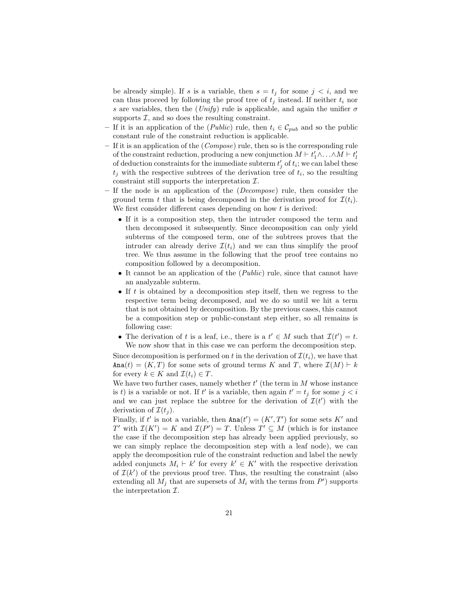be already simple). If s is a variable, then  $s = t_j$  for some  $j < i$ , and we can thus proceed by following the proof tree of  $t_j$  instead. If neither  $t_i$  nor s are variables, then the (Unify) rule is applicable, and again the unifier  $\sigma$ supports  $\mathcal{I}$ , and so does the resulting constraint.

- If it is an application of the (*Public*) rule, then  $t_i \in \mathcal{C}_{pub}$  and so the public constant rule of the constraint reduction is applicable.
- $-$  If it is an application of the (*Compose*) rule, then so is the corresponding rule of the constraint reduction, producing a new conjunction  $M \vdash t'_1 \land \ldots \land M \vdash t'_l$ of deduction constraints for the immediate subterm  $t'_{j}$  of  $t_{i}$ ; we can label these  $t_j$  with the respective subtrees of the derivation tree of  $t_i$ , so the resulting constraint still supports the interpretation  $\mathcal{I}$ .
- If the node is an application of the (*Decompose*) rule, then consider the ground term t that is being decomposed in the derivation proof for  $\mathcal{I}(t_i)$ . We first consider different cases depending on how  $t$  is derived:
	- If it is a composition step, then the intruder composed the term and then decomposed it subsequently. Since decomposition can only yield subterms of the composed term, one of the subtrees proves that the intruder can already derive  $\mathcal{I}(t_i)$  and we can thus simplify the proof tree. We thus assume in the following that the proof tree contains no composition followed by a decomposition.
	- It cannot be an application of the  $(Public)$  rule, since that cannot have an analyzable subterm.
	- If t is obtained by a decomposition step itself, then we regress to the respective term being decomposed, and we do so until we hit a term that is not obtained by decomposition. By the previous cases, this cannot be a composition step or public-constant step either, so all remains is following case:
	- The derivation of t is a leaf, i.e., there is a  $t' \in M$  such that  $\mathcal{I}(t') = t$ . We now show that in this case we can perform the decomposition step.

Since decomposition is performed on t in the derivation of  $\mathcal{I}(t_i)$ , we have that  $\texttt{Ana}(t) = (K, T)$  for some sets of ground terms K and T, where  $\mathcal{I}(M) \vdash k$ for every  $k \in K$  and  $\mathcal{I}(t_i) \in T$ .

We have two further cases, namely whether  $t'$  (the term in  $M$  whose instance is t) is a variable or not. If t' is a variable, then again  $t' = t_j$  for some  $j < i$ and we can just replace the subtree for the derivation of  $\mathcal{I}(t')$  with the derivation of  $\mathcal{I}(t_i)$ .

Finally, if t' is not a variable, then  $\texttt{Ana}(t') = (K', T')$  for some sets K' and T' with  $\mathcal{I}(K') = K$  and  $\mathcal{I}(P') = T$ . Unless  $T' \subseteq M$  (which is for instance the case if the decomposition step has already been applied previously, so we can simply replace the decomposition step with a leaf node), we can apply the decomposition rule of the constraint reduction and label the newly added conjuncts  $M_i \vdash k'$  for every  $k' \in K'$  with the respective derivation of  $\mathcal{I}(k')$  of the previous proof tree. Thus, the resulting the constraint (also extending all  $M_j$  that are supersets of  $M_i$  with the terms from  $P'$ ) supports the interpretation  $\mathcal{I}.$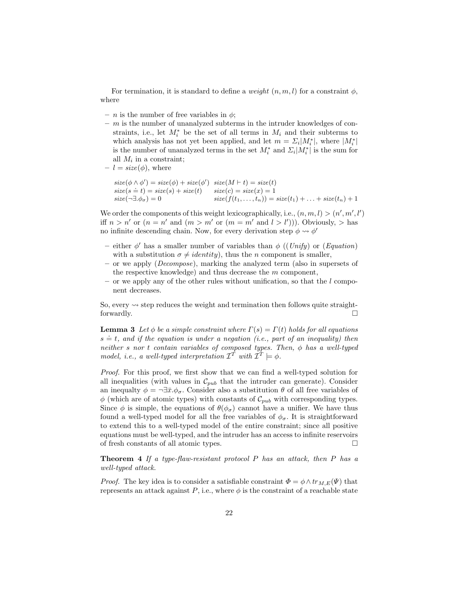For termination, it is standard to define a weight  $(n, m, l)$  for a constraint  $\phi$ , where

- *n* is the number of free variables in  $\phi$ ;
- $-$  m is the number of unanalyzed subterms in the intruder knowledges of constraints, i.e., let  $M_i^*$  be the set of all terms in  $M_i$  and their subterms to which analysis has not yet been applied, and let  $m = \sum_i |M_i^*|$ , where  $|M_i^*|$ is the number of unanalyzed terms in the set  $M_i^*$  and  $\Sigma_i|M_i^*|$  is the sum for all  $M_i$  in a constraint;
- $-l = size(\phi)$ , where

$$
size(\phi \land \phi') = size(\phi) + size(\phi') \quad size(M \vdash t) = size(t) \nsize(s = t) = size(s) + size(t) \quad size(c) = size(x) = 1 \nsize(\neg \exists . \phi_{\sigma}) = 0 \quad size(f(t_1, ..., t_n)) = size(t_1) + ... + size(t_n) + 1
$$

We order the components of this weight lexicographically, i.e.,  $(n, m, l) > (n', m', l')$ iff  $n > n'$  or  $(n = n'$  and  $(m > m'$  or  $(m = m'$  and  $l > l'))$ . Obviously,  $>$  has no infinite descending chain. Now, for every derivation step  $\phi \leadsto \phi'$ 

- either  $\phi'$  has a smaller number of variables than  $\phi$  ((*Unify*) or (*Equation*) with a substitution  $\sigma \neq identity$ , thus the *n* component is smaller,
- or we apply (Decompose), marking the analyzed term (also in supersets of the respective knowledge) and thus decrease the  $m$  component,
- or we apply any of the other rules without unification, so that the  $l$  component decreases.

So, every  $\rightsquigarrow$  step reduces the weight and termination then follows quite straightforwardly.  $\Box$ 

**Lemma 3** Let  $\phi$  be a simple constraint where  $\Gamma(s) = \Gamma(t)$  holds for all equations  $s \doteq t$ , and if the equation is under a negation (i.e., part of an inequality) then neither s nor t contain variables of composed types. Then,  $\phi$  has a well-typed model, i.e., a well-typed interpretation  $\mathcal{I}^T$  with  $\mathcal{I}^T \models \phi$ .

Proof. For this proof, we first show that we can find a well-typed solution for all inequalities (with values in  $\mathcal{C}_{pub}$  that the intruder can generate). Consider an inequalty  $\phi = \exists \bar{x} \cdot \phi_{\sigma}$ . Consider also a substitution  $\theta$  of all free variables of  $\phi$  (which are of atomic types) with constants of  $\mathcal{C}_{pub}$  with corresponding types. Since  $\phi$  is simple, the equations of  $\theta(\phi_{\sigma})$  cannot have a unifier. We have thus found a well-typed model for all the free variables of  $\phi_{\sigma}$ . It is straightforward to extend this to a well-typed model of the entire constraint; since all positive equations must be well-typed, and the intruder has an access to infinite reservoirs of fresh constants of all atomic types.

**Theorem 4** If a type-flaw-resistant protocol  $P$  has an attack, then  $P$  has a well-typed attack.

*Proof.* The key idea is to consider a satisfiable constraint  $\Phi = \phi \wedge tr_{M,E}(\Psi)$  that represents an attack against  $P$ , i.e., where  $\phi$  is the constraint of a reachable state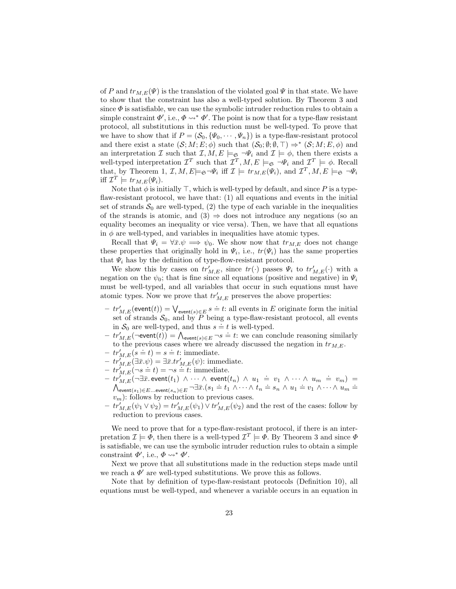of P and  $tr_{M,E}(\Psi)$  is the translation of the violated goal  $\Psi$  in that state. We have to show that the constraint has also a well-typed solution. By Theorem 3 and since  $\Phi$  is satisfiable, we can use the symbolic intruder reduction rules to obtain a simple constraint  $\Phi'$ , i.e.,  $\Phi \leadsto^* \Phi'$ . The point is now that for a type-flaw resistant protocol, all substitutions in this reduction must be well-typed. To prove that we have to show that if  $P = (\mathcal{S}_0, \{\Psi_0, \cdots, \Psi_n\})$  is a type-flaw-resistant protocol and there exist a state  $(S, M; E; \phi)$  such that  $(S_0; \emptyset; \emptyset, \top) \Rightarrow^* (S; M; E, \phi)$  and an interpretation I such that  $\mathcal{I}, M, E \models_{\mathfrak{S}} \neg \Psi_i$  and  $\mathcal{I} \models \phi$ , then there exists a well-typed interpretation  $\mathcal{I}^T$  such that  $\mathcal{I}^T, M, E \models_{\mathfrak{S}} \neg \Psi_i$  and  $\mathcal{I}^T \models \phi$ . Recall that, by Theorem 1,  $\mathcal{I}, M, E \models_{\mathfrak{S}} \neg \Psi_i$  iff  $\mathcal{I} \models tr_{M,E}(\Psi_i)$ , and  $\mathcal{I}^T, M, E \models_{\mathfrak{S}} \neg \Psi_i$ iff  $\mathcal{I}^T \models tr_{M,E}(\varPsi_i)$ .

Note that  $\phi$  is initially  $\top$ , which is well-typed by default, and since P is a typeflaw-resistant protocol, we have that: (1) all equations and events in the initial set of strands  $S_0$  are well-typed, (2) the type of each variable in the inequalities of the strands is atomic, and  $(3) \Rightarrow$  does not introduce any negations (so an equality becomes an inequality or vice versa). Then, we have that all equations in  $\phi$  are well-typed, and variables in inequalities have atomic types.

Recall that  $\Psi_i = \forall \bar{x}.\psi \Longrightarrow \psi_0$ . We show now that  $tr_{M,E}$  does not change these properties that originally hold in  $\Psi_i$ , i.e.,  $tr(\Psi_i)$  has the same properties that  $\Psi_i$  has by the definition of type-flow-resistant protocol.

We show this by cases on  $tr'_{M,E}$ , since  $tr(\cdot)$  passes  $\Psi_i$  to  $tr'_{M,E}(\cdot)$  with a negation on the  $\psi_0$ ; that is fine since all equations (positive and negative) in  $\Psi_i$ must be well-typed, and all variables that occur in such equations must have atomic types. Now we prove that  $tr'_{M,E}$  preserves the above properties:

- $tr'_{M,E}(\text{event}(t)) = \bigvee_{\text{event}(s) \in E} s = t:$  all events in E originate form the initial set of strands  $S_0$ , and by P being a type-flaw-resistant protocol, all events in  $S_0$  are well-typed, and thus  $s \doteq t$  is well-typed.
- $tr'_{M,E}(\neg \text{event}(t)) = \bigwedge_{\text{event}(s) \in E} \neg s = t$ : we can conclude reasoning similarly to the previous cases where we already discussed the negation in  $tr_{M,E}$ .
- $tr'_{M,E}(s \doteq t) = s \doteq t$ : immediate.
- $tr_{M,E}^{\prime\prime}(\exists \bar{x}.\psi) = \exists \bar{x}.tr_{M,E}^{\prime}(\psi)$ : immediate.
- $-tr'_{M,E}(\exists x.\varphi) = \exists x.\varphi \, M,E(\varphi).$  immediate.<br> $-tr'_{M,E}(\neg s = t) = \neg s = t$ : immediate.
- $v_{M,E}^{V}(\overline{u},\overline{v}) = v_{M,E}^{V}(-\exists \overline{x}.\text{ event}(t_1) \land \cdots \land \text{ event}(t_n) \land u_1 = v_1 \land \cdots \land u_m = v_m) =$  $\bigwedge_{w} E(\bigcup_{i=1}^{m} \mathcal{L} \cup \mathcal{L} \cup \mathcal{L}) = E \cup \{v_1 \} \land \dots \land \{v_n = v_1 \}$   $\bigwedge_{w_1 \in \mathcal{L}} \bigcup_{i=1}^{m} \mathcal{L} \cup \{v_1 \} \land \dots \land \{v_n = v_n \}$   $\bigwedge_{w_1 \in \mathcal{L}} \bigcup_{v_1 \in \mathcal{L}} \mathcal{L} \cup \{v_1 \} \land \dots \land \{v_m = v_m \}$  $v_m$ ): follows by reduction to previous cases.
- $tr'_{M,E}(\psi_1 \vee \psi_2) = tr'_{M,E}(\psi_1) \vee tr'_{M,E}(\psi_2)$  and the rest of the cases: follow by reduction to previous cases.

We need to prove that for a type-flaw-resistant protocol, if there is an interpretation  $\mathcal{I} \models \Phi$ , then there is a well-typed  $\mathcal{I}^T \models \Phi$ . By Theorem 3 and since  $\Phi$ is satisfiable, we can use the symbolic intruder reduction rules to obtain a simple constraint  $\Phi'$ , i.e.,  $\Phi \leadsto^* \Phi'$ .

Next we prove that all substitutions made in the reduction steps made until we reach a  $\Phi'$  are well-typed substitutions. We prove this as follows.

Note that by definition of type-flaw-resistant protocols (Definition 10), all equations must be well-typed, and whenever a variable occurs in an equation in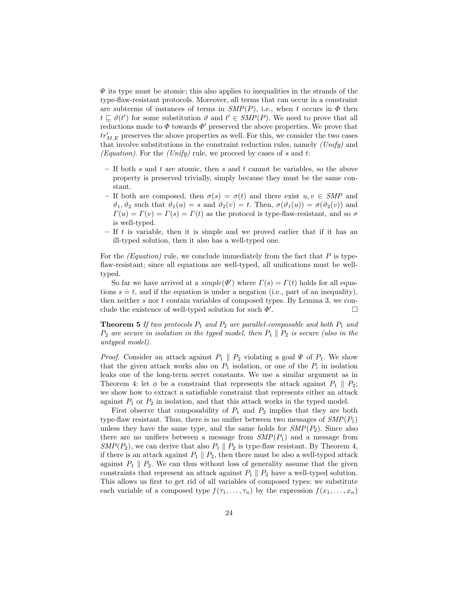$\Psi$  its type must be atomic; this also applies to inequalities in the strands of the type-flaw-resistant protocols. Moreover, all terms that can occur in a constraint are subterms of instances of terms in  $SMP(P)$ , i.e., when t occurs in  $\Phi$  then  $t \subseteq \vartheta(t')$  for some substitution  $\vartheta$  and  $t' \in \mathit{SMP}(P)$ . We need to prove that all reductions made to  $\Phi$  towards  $\Phi'$  preserved the above properties. We prove that  $tr'_{M,E}$  preserves the above properties as well. For this, we consider the two cases that involve substitutions in the constraint reduction rules, namely  $(Unify)$  and (Equation). For the (Unify) rule, we proceed by cases of s and t:

- If both s and t are atomic, then s and t cannot be variables, so the above property is preserved trivially, simply because they must be the same constant.
- If both are composed, then  $\sigma(s) = \sigma(t)$  and there exist  $u, v \in SMP$  and  $\vartheta_1, \vartheta_2$  such that  $\vartheta_1(u) = s$  and  $\vartheta_2(v) = t$ . Then,  $\sigma(\vartheta_1(u)) = \sigma(\vartheta_2(v))$  and  $\Gamma(u) = \Gamma(v) = \Gamma(s) = \Gamma(t)$  as the protocol is type-flaw-resistant, and so  $\sigma$ is well-typed.
- $-$  If t is variable, then it is simple and we proved earlier that if it has an ill-typed solution, then it also has a well-typed one.

For the *(Equation)* rule, we conclude immediately from the fact that  $P$  is typeflaw-resistant; since all equations are well-typed, all unifications must be welltyped.

So far we have arrived at a  $simple(\Phi')$  where  $\Gamma(s) = \Gamma(t)$  holds for all equations  $s \doteq t$ , and if the equation is under a negation (i.e., part of an inequality), then neither s nor t contain variables of composed types. By Lemma 3, we conclude the existence of well-typed solution for such  $\Phi'$ .

**Theorem 5** If two protocols  $P_1$  and  $P_2$  are parallel-composable and both  $P_1$  and  $P_2$  are secure in isolation in the typed model, then  $P_1 \parallel P_2$  is secure (also in the untyped model).

*Proof.* Consider an attack against  $P_1 \parallel P_2$  violating a goal  $\Psi$  of  $P_1$ . We show that the given attack works also on  $P_1$  isolation, or one of the  $P_i$  in isolation leaks one of the long-term secret constants. We use a similar argument as in Theorem 4: let  $\phi$  be a constraint that represents the attack against  $P_1 \parallel P_2$ ; we show how to extract a satisfiable constraint that represents either an attack against  $P_1$  or  $P_2$  in isolation, and that this attack works in the typed model.

First observe that composability of  $P_1$  and  $P_2$  implies that they are both type-flaw resistant. Thus, there is no unifier between two messages of  $SMP(P_1)$ unless they have the same type, and the same holds for  $SMP(P_2)$ . Since also there are no unifiers between a message from  $SMP(P_1)$  and a message from  $SMP(P_2)$ , we can derive that also  $P_1 \parallel P_2$  is type-flaw resistant. By Theorem 4, if there is an attack against  $P_1 \parallel P_2$ , then there must be also a well-typed attack against  $P_1 \parallel P_2$ . We can thus without loss of generality assume that the given constraints that represent an attack against  $P_1 \parallel P_2$  have a well-typed solution. This allows us first to get rid of all variables of composed types: we substitute each variable of a composed type  $f(\tau_1, \ldots, \tau_n)$  by the expression  $f(x_1, \ldots, x_n)$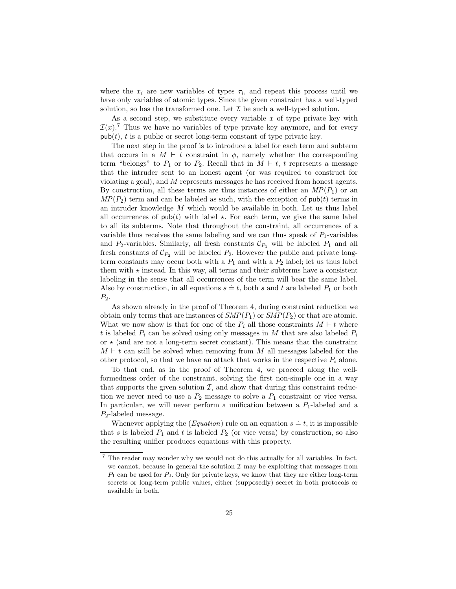where the  $x_i$  are new variables of types  $\tau_i$ , and repeat this process until we have only variables of atomic types. Since the given constraint has a well-typed solution, so has the transformed one. Let  $\mathcal I$  be such a well-typed solution.

As a second step, we substitute every variable  $x$  of type private key with  $\mathcal{I}(x)$ .<sup>7</sup> Thus we have no variables of type private key anymore, and for every  $\mathsf{pub}(t), t$  is a public or secret long-term constant of type private key.

The next step in the proof is to introduce a label for each term and subterm that occurs in a  $M \vdash t$  constraint in  $\phi$ , namely whether the corresponding term "belongs" to  $P_1$  or to  $P_2$ . Recall that in  $M \vdash t$ , t represents a message that the intruder sent to an honest agent (or was required to construct for violating a goal), and M represents messages he has received from honest agents. By construction, all these terms are thus instances of either an  $MP(P_1)$  or an  $MP(P_2)$  term and can be labeled as such, with the exception of  $\mathsf{pub}(t)$  terms in an intruder knowledge  $M$  which would be available in both. Let us thus label all occurrences of  $\text{pub}(t)$  with label  $\star$ . For each term, we give the same label to all its subterms. Note that throughout the constraint, all occurrences of a variable thus receives the same labeling and we can thus speak of  $P_1$ -variables and  $P_2$ -variables. Similarly, all fresh constants  $\mathcal{C}_{P_1}$  will be labeled  $P_1$  and all fresh constants of  $\mathcal{C}_{P_2}$  will be labeled  $P_2$ . However the public and private longterm constants may occur both with a  $P_1$  and with a  $P_2$  label; let us thus label them with  $\star$  instead. In this way, all terms and their subterms have a consistent labeling in the sense that all occurrences of the term will bear the same label. Also by construction, in all equations  $s \doteq t$ , both s and t are labeled  $P_1$  or both  $P_2$ .

As shown already in the proof of Theorem 4, during constraint reduction we obtain only terms that are instances of  $SMP(P_1)$  or  $SMP(P_2)$  or that are atomic. What we now show is that for one of the  $P_i$  all those constraints  $M \vdash t$  where t is labeled  $P_i$  can be solved using only messages in M that are also labeled  $P_i$ or  $\star$  (and are not a long-term secret constant). This means that the constraint  $M \vdash t$  can still be solved when removing from M all messages labeled for the other protocol, so that we have an attack that works in the respective  $P_i$  alone.

To that end, as in the proof of Theorem 4, we proceed along the wellformedness order of the constraint, solving the first non-simple one in a way that supports the given solution  $I$ , and show that during this constraint reduction we never need to use a  $P_2$  message to solve a  $P_1$  constraint or vice versa. In particular, we will never perform a unification between a  $P_1$ -labeled and a  $P_2$ -labeled message.

Whenever applying the (*Equation*) rule on an equation  $s \doteq t$ , it is impossible that s is labeled  $P_1$  and t is labeled  $P_2$  (or vice versa) by construction, so also the resulting unifier produces equations with this property.

<sup>&</sup>lt;sup>7</sup> The reader may wonder why we would not do this actually for all variables. In fact, we cannot, because in general the solution  $\mathcal I$  may be exploiting that messages from  $P_1$  can be used for  $P_2$ . Only for private keys, we know that they are either long-term secrets or long-term public values, either (supposedly) secret in both protocols or available in both.